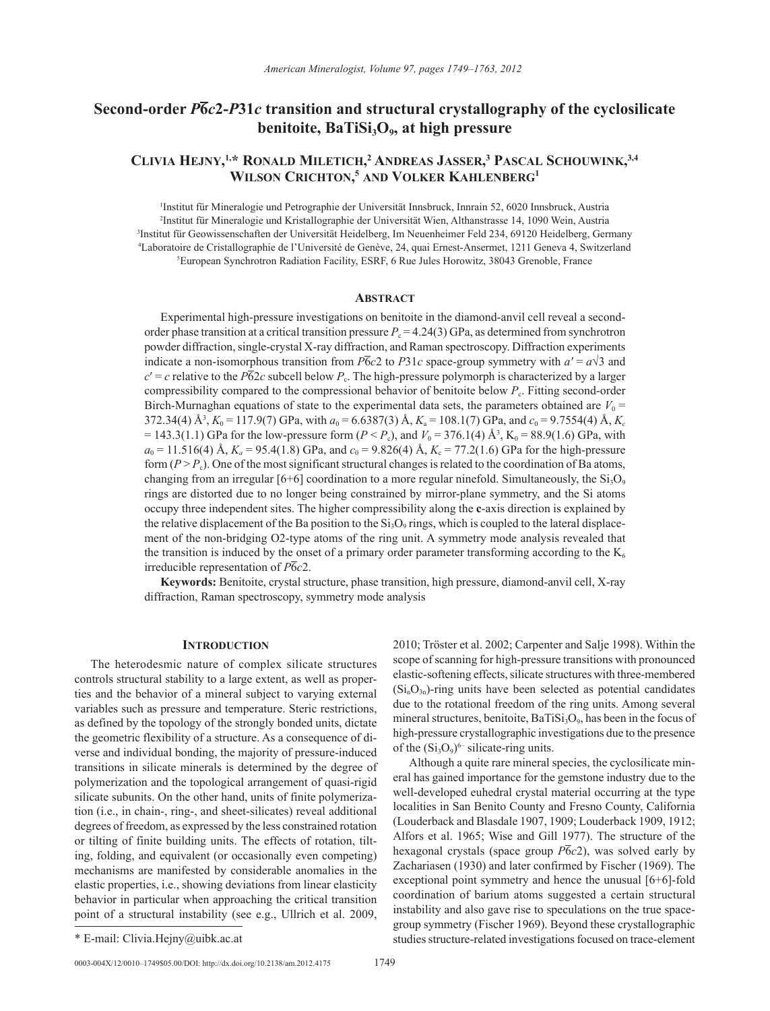# **Second-order** *P***6***c***2-***P***31***c* **transition and structural crystallography of the cyclosilicate**  benitoite, BaTiSi<sub>3</sub>O<sub>9</sub>, at high pressure

## **Clivia Hejny, 1,\* Ronald Miletich, <sup>2</sup> Andreas Jasser, 3 Pascal Schouwink, 3,4 Wilson Crichton, <sup>5</sup> and Volker Kahlenberg1**

 Institut für Mineralogie und Petrographie der Universität Innsbruck, Innrain 52, 6020 Innsbruck, Austria Institut für Mineralogie und Kristallographie der Universität Wien, Althanstrasse 14, 1090 Wein, Austria Institut für Geowissenschaften der Universität Heidelberg, Im Neuenheimer Feld 234, 69120 Heidelberg, Germany Laboratoire de Cristallographie de l'Université de Genève, 24, quai Ernest-Ansermet, 1211 Geneva 4, Switzerland European Synchrotron Radiation Facility, ESRF, 6 Rue Jules Horowitz, 38043 Grenoble, France

#### **Abstract**

Experimental high-pressure investigations on benitoite in the diamond-anvil cell reveal a secondorder phase transition at a critical transition pressure  $P_c = 4.24(3)$  GPa, as determined from synchrotron powder diffraction, single-crystal X-ray diffraction, and Raman spectroscopy. Diffraction experiments indicate a non-isomorphous transition from *P*<sub>6</sub>*c*2 to *P*31*c* space-group symmetry with  $a' = a\sqrt{3}$  and  $c' = c$  relative to the *P*62*c* subcell below  $P_c$ . The high-pressure polymorph is characterized by a larger compressibility compared to the compressional behavior of benitoite below  $P_c$ . Fitting second-order Birch-Murnaghan equations of state to the experimental data sets, the parameters obtained are  $V_0$  = 372.34(4) Å<sup>3</sup>,  $K_0 = 117.9(7)$  GPa, with  $a_0 = 6.6387(3)$  Å,  $K_a = 108.1(7)$  GPa, and  $c_0 = 9.7554(4)$  Å,  $K_c$  $= 143.3(1.1)$  GPa for the low-pressure form (*P* < *P*<sub>c</sub>), and  $V_0 = 376.1(4)$  Å<sup>3</sup>, K<sub>0</sub> = 88.9(1.6) GPa, with  $a_0 = 11.516(4)$  Å,  $K_a = 95.4(1.8)$  GPa, and  $c_0 = 9.826(4)$  Å,  $K_c = 77.2(1.6)$  GPa for the high-pressure form  $(P > P_c)$ . One of the most significant structural changes is related to the coordination of Ba atoms, changing from an irregular [6+6] coordination to a more regular ninefold. Simultaneously, the  $Si<sub>3</sub>O<sub>9</sub>$ rings are distorted due to no longer being constrained by mirror-plane symmetry, and the Si atoms occupy three independent sites. The higher compressibility along the **c**-axis direction is explained by the relative displacement of the Ba position to the  $Si_3O_9$  rings, which is coupled to the lateral displacement of the non-bridging O2-type atoms of the ring unit. A symmetry mode analysis revealed that the transition is induced by the onset of a primary order parameter transforming according to the  $K_6$ irreducible representation of *P*6*c*2.

**Keywords:** Benitoite, crystal structure, phase transition, high pressure, diamond-anvil cell, X-ray diffraction, Raman spectroscopy, symmetry mode analysis

### **Introduction**

The heterodesmic nature of complex silicate structures controls structural stability to a large extent, as well as properties and the behavior of a mineral subject to varying external variables such as pressure and temperature. Steric restrictions, as defined by the topology of the strongly bonded units, dictate the geometric flexibility of a structure. As a consequence of diverse and individual bonding, the majority of pressure-induced transitions in silicate minerals is determined by the degree of polymerization and the topological arrangement of quasi-rigid silicate subunits. On the other hand, units of finite polymerization (i.e., in chain-, ring-, and sheet-silicates) reveal additional degrees of freedom, as expressed by the less constrained rotation or tilting of finite building units. The effects of rotation, tilting, folding, and equivalent (or occasionally even competing) mechanisms are manifested by considerable anomalies in the elastic properties, i.e., showing deviations from linear elasticity behavior in particular when approaching the critical transition point of a structural instability (see e.g., Ullrich et al. 2009,

Although a quite rare mineral species, the cyclosilicate mineral has gained importance for the gemstone industry due to the well-developed euhedral crystal material occurring at the type localities in San Benito County and Fresno County, California (Louderback and Blasdale 1907, 1909; Louderback 1909, 1912; Alfors et al. 1965; Wise and Gill 1977). The structure of the hexagonal crystals (space group  $\overline{P6}c2$ ), was solved early by Zachariasen (1930) and later confirmed by Fischer (1969). The exceptional point symmetry and hence the unusual [6+6]-fold coordination of barium atoms suggested a certain structural instability and also gave rise to speculations on the true spacegroup symmetry (Fischer 1969). Beyond these crystallographic \* E-mail: Clivia.Hejny@uibk.ac.at studies structure-related investigations focused on trace-element

0003-004X/12/0010–1749\$05.00/DOI: http://dx.doi.org/10.2138/am.2012.4175 1749

<sup>2010;</sup> Tröster et al. 2002; Carpenter and Salje 1998). Within the scope of scanning for high-pressure transitions with pronounced elastic-softening effects, silicate structures with three-membered  $(Si<sub>n</sub>O<sub>3n</sub>)$ -ring units have been selected as potential candidates due to the rotational freedom of the ring units. Among several mineral structures, benitoite,  $BaTiSi<sub>3</sub>O<sub>9</sub>$ , has been in the focus of high-pressure crystallographic investigations due to the presence of the  $(Si_3O_9)^{6-}$  silicate-ring units.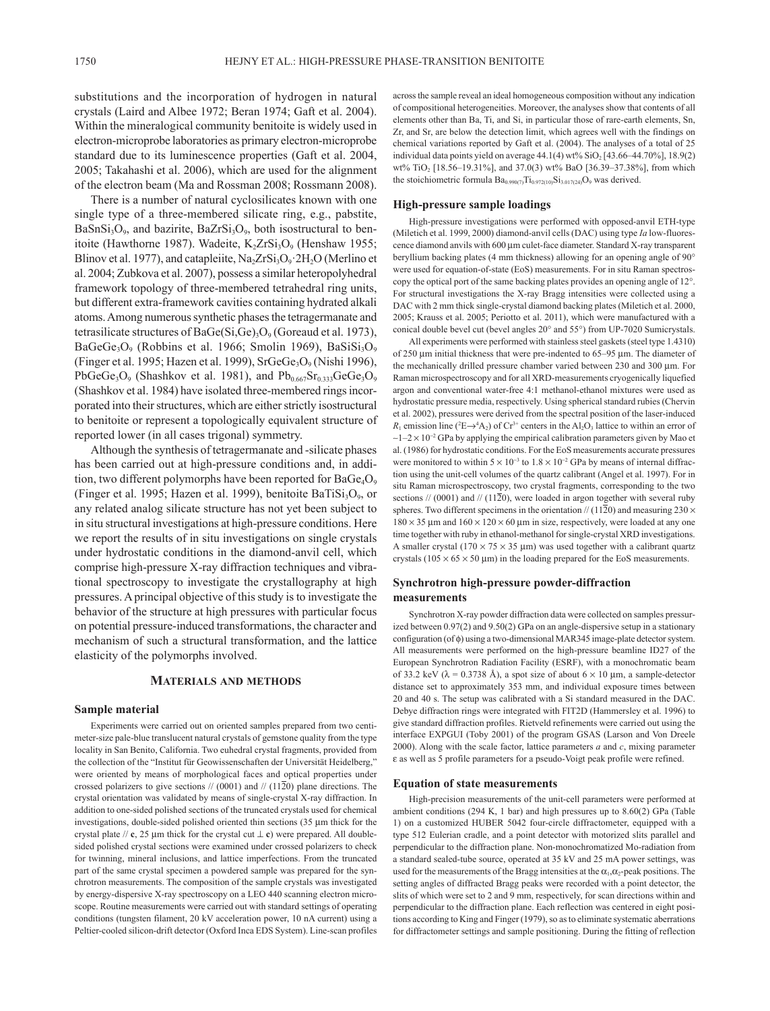substitutions and the incorporation of hydrogen in natural crystals (Laird and Albee 1972; Beran 1974; Gaft et al. 2004). Within the mineralogical community benitoite is widely used in electron-microprobe laboratories as primary electron-microprobe standard due to its luminescence properties (Gaft et al. 2004, 2005; Takahashi et al. 2006), which are used for the alignment of the electron beam (Ma and Rossman 2008; Rossmann 2008).

There is a number of natural cyclosilicates known with one single type of a three-membered silicate ring, e.g., pabstite,  $BaSnSi<sub>3</sub>O<sub>9</sub>$ , and bazirite,  $BaZrSi<sub>3</sub>O<sub>9</sub>$ , both isostructural to benitoite (Hawthorne 1987). Wadeite, K<sub>2</sub>ZrSi<sub>3</sub>O<sub>9</sub> (Henshaw 1955; Blinov et al. 1977), and catapleiite,  $Na<sub>2</sub>ZrSi<sub>3</sub>O<sub>9</sub> 2H<sub>2</sub>O$  (Merlino et al. 2004; Zubkova et al. 2007), possess a similar heteropolyhedral framework topology of three-membered tetrahedral ring units, but different extra-framework cavities containing hydrated alkali atoms. Among numerous synthetic phases the tetragermanate and tetrasilicate structures of  $BaGe(Si,Ge)$ <sub>3</sub>O<sub>9</sub> (Goreaud et al. 1973), BaGeGe<sub>3</sub>O<sub>9</sub> (Robbins et al. 1966; Smolin 1969), BaSiSi<sub>3</sub>O<sub>9</sub> (Finger et al. 1995; Hazen et al. 1999), SrGeGe<sub>3</sub>O<sub>9</sub> (Nishi 1996), PbGeGe<sub>3</sub>O<sub>9</sub> (Shashkov et al. 1981), and  $Pb_{0.667}Sr_{0.333}GeGe_3O_9$ (Shashkov et al. 1984) have isolated three-membered rings incorporated into their structures, which are either strictly isostructural to benitoite or represent a topologically equivalent structure of reported lower (in all cases trigonal) symmetry.

Although the synthesis of tetragermanate and -silicate phases has been carried out at high-pressure conditions and, in addition, two different polymorphs have been reported for  $BaGe_4O_9$ (Finger et al. 1995; Hazen et al. 1999), benitoite Ba $TiSi<sub>3</sub>O<sub>9</sub>$ , or any related analog silicate structure has not yet been subject to in situ structural investigations at high-pressure conditions. Here we report the results of in situ investigations on single crystals under hydrostatic conditions in the diamond-anvil cell, which comprise high-pressure X-ray diffraction techniques and vibrational spectroscopy to investigate the crystallography at high pressures. A principal objective of this study is to investigate the behavior of the structure at high pressures with particular focus on potential pressure-induced transformations, the character and mechanism of such a structural transformation, and the lattice elasticity of the polymorphs involved.

#### **Materials and methods**

#### **Sample material**

Experiments were carried out on oriented samples prepared from two centimeter-size pale-blue translucent natural crystals of gemstone quality from the type locality in San Benito, California. Two euhedral crystal fragments, provided from the collection of the "Institut für Geowissenschaften der Universität Heidelberg," were oriented by means of morphological faces and optical properties under crossed polarizers to give sections // (0001) and // (1120) plane directions. The crystal orientation was validated by means of single-crystal X-ray diffraction. In addition to one-sided polished sections of the truncated crystals used for chemical investigations, double-sided polished oriented thin sections (35 µm thick for the crystal plate // **c**, 25 µm thick for the crystal cut ⊥ **c**) were prepared. All doublesided polished crystal sections were examined under crossed polarizers to check for twinning, mineral inclusions, and lattice imperfections. From the truncated part of the same crystal specimen a powdered sample was prepared for the synchrotron measurements. The composition of the sample crystals was investigated by energy-dispersive X-ray spectroscopy on a LEO 440 scanning electron microscope. Routine measurements were carried out with standard settings of operating conditions (tungsten filament, 20 kV acceleration power, 10 nA current) using a Peltier-cooled silicon-drift detector (Oxford Inca EDS System). Line-scan profiles

across the sample reveal an ideal homogeneous composition without any indication of compositional heterogeneities. Moreover, the analyses show that contents of all elements other than Ba, Ti, and Si, in particular those of rare-earth elements, Sn, Zr, and Sr, are below the detection limit, which agrees well with the findings on chemical variations reported by Gaft et al. (2004). The analyses of a total of 25 individual data points yield on average  $44.1(4)$  wt%  $SiO<sub>2</sub>$  [43.66–44.70%], 18.9(2) wt% TiO2 [18.56–19.31%], and 37.0(3) wt% BaO [36.39–37.38%], from which the stoichiometric formula  $Ba_{0.990(7)}Ti_{0.972(10)}Si_{3.017(24)}O_9$  was derived.

#### **High-pressure sample loadings**

High-pressure investigations were performed with opposed-anvil ETH-type (Miletich et al. 1999, 2000) diamond-anvil cells (DAC) using type *Ia* low-fluorescence diamond anvils with 600 µm culet-face diameter. Standard X-ray transparent beryllium backing plates (4 mm thickness) allowing for an opening angle of 90° were used for equation-of-state (EoS) measurements. For in situ Raman spectroscopy the optical port of the same backing plates provides an opening angle of 12°. For structural investigations the X-ray Bragg intensities were collected using a DAC with 2 mm thick single-crystal diamond backing plates (Miletich et al. 2000, 2005; Krauss et al. 2005; Periotto et al. 2011), which were manufactured with a conical double bevel cut (bevel angles 20° and 55°) from UP-7020 Sumicrystals.

All experiments were performed with stainless steel gaskets (steel type 1.4310) of 250 µm initial thickness that were pre-indented to 65–95 µm. The diameter of the mechanically drilled pressure chamber varied between 230 and 300 µm. For Raman microspectroscopy and for all XRD-measurements cryogenically liquefied argon and conventional water-free 4:1 methanol-ethanol mixtures were used as hydrostatic pressure media, respectively. Using spherical standard rubies (Chervin et al. 2002), pressures were derived from the spectral position of the laser-induced  $R_1$  emission line ( $(E \rightarrow 4A_2)$  of Cr<sup>3+</sup> centers in the Al<sub>2</sub>O<sub>3</sub> lattice to within an error of  $\sim$ 1–2 × 10<sup>-2</sup> GPa by applying the empirical calibration parameters given by Mao et al. (1986) for hydrostatic conditions. For the EoS measurements accurate pressures were monitored to within  $5 \times 10^{-3}$  to  $1.8 \times 10^{-2}$  GPa by means of internal diffraction using the unit-cell volumes of the quartz calibrant (Angel et al. 1997). For in situ Raman microspectroscopy, two crystal fragments, corresponding to the two sections // (0001) and // (1120), were loaded in argon together with several ruby spheres. Two different specimens in the orientation // (1120) and measuring  $230 \times$  $180 \times 35$  µm and  $160 \times 120 \times 60$  µm in size, respectively, were loaded at any one time together with ruby in ethanol-methanol for single-crystal XRD investigations. A smaller crystal ( $170 \times 75 \times 35$  µm) was used together with a calibrant quartz crystals ( $105 \times 65 \times 50 \mu m$ ) in the loading prepared for the EoS measurements.

### **Synchrotron high-pressure powder-diffraction measurements**

Synchrotron X-ray powder diffraction data were collected on samples pressurized between 0.97(2) and 9.50(2) GPa on an angle-dispersive setup in a stationary configuration (of φ) using a two-dimensional MAR345 image-plate detector system. All measurements were performed on the high-pressure beamline ID27 of the European Synchrotron Radiation Facility (ESRF), with a monochromatic beam of 33.2 keV ( $\lambda$  = 0.3738 Å), a spot size of about 6  $\times$  10 µm, a sample-detector distance set to approximately 353 mm, and individual exposure times between 20 and 40 s. The setup was calibrated with a Si standard measured in the DAC. Debye diffraction rings were integrated with FIT2D (Hammersley et al. 1996) to give standard diffraction profiles. Rietveld refinements were carried out using the interface EXPGUI (Toby 2001) of the program GSAS (Larson and Von Dreele 2000). Along with the scale factor, lattice parameters *a* and *c*, mixing parameter ε as well as 5 profile parameters for a pseudo-Voigt peak profile were refined.

#### **Equation of state measurements**

High-precision measurements of the unit-cell parameters were performed at ambient conditions (294 K, 1 bar) and high pressures up to 8.60(2) GPa (Table 1) on a customized HUBER 5042 four-circle diffractometer, equipped with a type 512 Eulerian cradle, and a point detector with motorized slits parallel and perpendicular to the diffraction plane. Non-monochromatized Mo-radiation from a standard sealed-tube source, operated at 35 kV and 25 mA power settings, was used for the measurements of the Bragg intensities at the  $\alpha_1, \alpha_2$ -peak positions. The setting angles of diffracted Bragg peaks were recorded with a point detector, the slits of which were set to 2 and 9 mm, respectively, for scan directions within and perpendicular to the diffraction plane. Each reflection was centered in eight positions according to King and Finger (1979), so as to eliminate systematic aberrations for diffractometer settings and sample positioning. During the fitting of reflection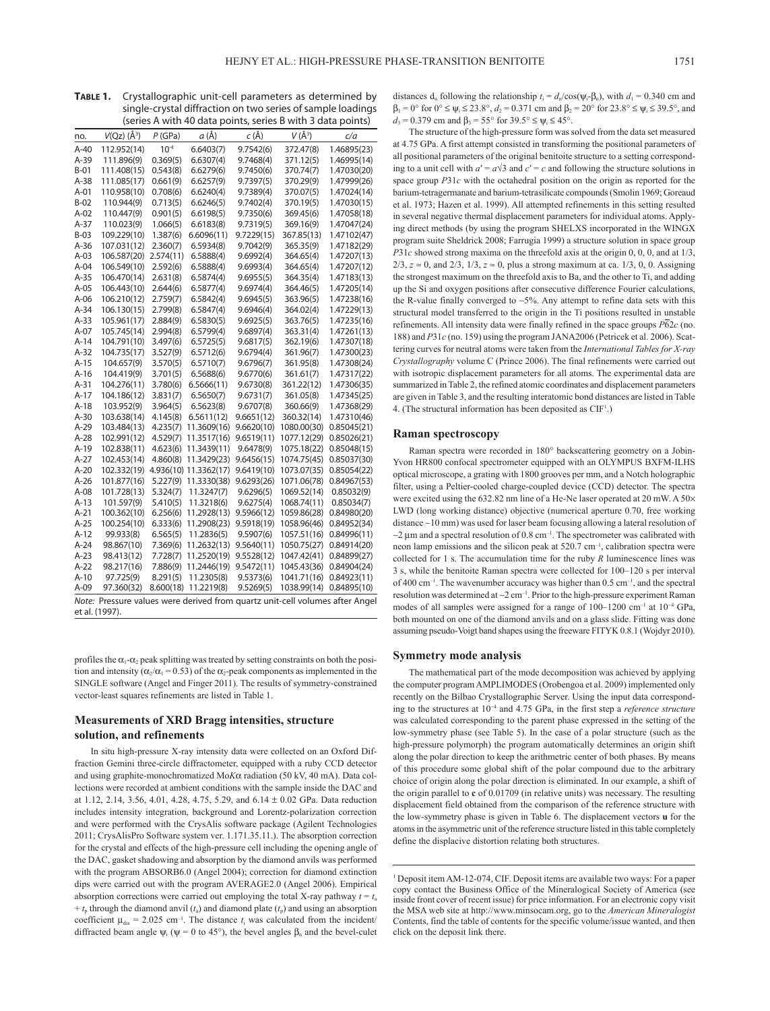| <b>TABLE 1.</b> Crystallographic unit-cell parameters as determined by |
|------------------------------------------------------------------------|
| single-crystal diffraction on two series of sample loadings            |
| (series A with 40 data points, series B with 3 data points)            |

| no.    | $V(Qz)$ ( $\AA$ <sup>3</sup> ) | $P$ (GPa) | a (Å)                 | $c(\AA)$   | $V(\AA^3)$  | c/a                                                                          |
|--------|--------------------------------|-----------|-----------------------|------------|-------------|------------------------------------------------------------------------------|
| A-40   | 112.952(14)                    | $10^{-4}$ | 6.6403(7)             | 9.7542(6)  | 372.47(8)   | 1.46895(23)                                                                  |
| A-39   | 111.896(9)                     | 0.369(5)  | 6.6307(4)             | 9.7468(4)  | 371.12(5)   | 1.46995(14)                                                                  |
| B-01   | 111.408(15)                    | 0.543(8)  | 6.6279(6)             | 9.7450(6)  | 370.74(7)   | 1.47030(20)                                                                  |
| A-38   | 111.085(17)                    | 0.661(9)  | 6.6257(9)             | 9.7397(5)  | 370.29(9)   | 1.47999(26)                                                                  |
| A-01   | 110.958(10)                    | 0.708(6)  | 6.6240(4)             | 9.7389(4)  | 370.07(5)   | 1.47024(14)                                                                  |
| B-02   | 110.944(9)                     | 0.713(5)  | 6.6246(5)             | 9.7402(4)  | 370.19(5)   | 1.47030(15)                                                                  |
| A-02   | 110.447(9)                     | 0.901(5)  | 6.6198(5)             | 9.7350(6)  | 369.45(6)   | 1.47058(18)                                                                  |
| A-37   | 110.023(9)                     | 1.066(5)  | 6.6183(8)             | 9.7319(5)  | 369.16(9)   | 1.47047(24)                                                                  |
| $B-03$ | 109.229(10)                    | 1.387(6)  | 6.6096(11)            | 9.7229(15) | 367.85(13)  | 1.47102(47)                                                                  |
| A-36   | 107.031(12)                    | 2.360(7)  | 6.5934(8)             | 9.7042(9)  | 365.35(9)   | 1.47182(29)                                                                  |
| A-03   | 106.587(20)                    | 2.574(11) | 6.5888(4)             | 9.6992(4)  | 364.65(4)   | 1.47207(13)                                                                  |
| A-04   | 106.549(10)                    | 2.592(6)  | 6.5888(4)             | 9.6993(4)  | 364.65(4)   | 1.47207(12)                                                                  |
| A-35   | 106.470(14)                    | 2.631(8)  | 6.5874(4)             | 9.6955(5)  | 364.35(4)   | 1.47183(13)                                                                  |
| A-05   | 106.443(10)                    | 2.644(6)  | 6.5877(4)             | 9.6974(4)  | 364.46(5)   | 1.47205(14)                                                                  |
| A-06   | 106.210(12)                    | 2.759(7)  | 6.5842(4)             | 9.6945(5)  | 363.96(5)   | 1.47238(16)                                                                  |
| A-34   | 106.130(15)                    | 2.799(8)  | 6.5847(4)             | 9.6946(4)  | 364.02(4)   | 1.47229(13)                                                                  |
| A-33   | 105.961(17)                    | 2.884(9)  | 6.5830(5)             | 9.6925(5)  | 363.76(5)   | 1.47235(16)                                                                  |
| $A-07$ | 105.745(14)                    | 2.994(8)  | 6.5799(4)             | 9.6897(4)  | 363.31(4)   | 1.47261(13)                                                                  |
| A-14   | 104.791(10)                    | 3.497(6)  | 6.5725(5)             | 9.6817(5)  | 362.19(6)   | 1.47307(18)                                                                  |
| A-32   | 104.735(17)                    | 3.527(9)  | 6.5712(6)             | 9.6794(4)  | 361.96(7)   | 1.47300(23)                                                                  |
| A-15   | 104.657(9)                     | 3.570(5)  | 6.5710(7)             | 9.6796(7)  | 361.95(8)   | 1.47308(24)                                                                  |
| A-16   | 104.419(9)                     | 3.701(5)  | 6.5688(6)             | 9.6770(6)  | 361.61(7)   | 1.47317(22)                                                                  |
| A-31   | 104.276(11)                    | 3.780(6)  | 6.5666(11)            | 9.6730(8)  | 361.22(12)  | 1.47306(35)                                                                  |
| A-17   | 104.186(12)                    | 3.831(7)  | 6.5650(7)             | 9.6731(7)  | 361.05(8)   | 1.47345(25)                                                                  |
| A-18   | 103.952(9)                     | 3.964(5)  | 6.5623(8)             | 9.6707(8)  | 360.66(9)   | 1.47368(29)                                                                  |
| $A-30$ | 103.638(14)                    | 4.145(8)  | 6.5611(12)            | 9.6651(12) | 360.32(14)  | 1.47310(46)                                                                  |
| A-29   | 103.484(13)                    | 4.235(7)  | 11.3609(16)           | 9.6620(10) | 1080.00(30) | 0.85045(21)                                                                  |
| A-28   | 102.991(12)                    | 4.529(7)  | 11.3517(16)           | 9.6519(11) | 1077.12(29) | 0.85026(21)                                                                  |
| A-19   | 102.838(11)                    | 4.623(6)  | 11.3439(11)           | 9.6478(9)  | 1075.18(22) | 0.85048(15)                                                                  |
| A-27   | 102.453(14)                    | 4.860(8)  | 11.3429(23)           | 9.6456(15) | 1074.75(45) | 0.85037(30)                                                                  |
| A-20   | 102.332(19)                    |           | 4.936(10) 11.3362(17) | 9.6419(10) | 1073.07(35) | 0.85054(22)                                                                  |
| A-26   | 101.877(16)                    | 5.227(9)  | 11.3330(38)           | 9.6293(26) | 1071.06(78) | 0.84967(53)                                                                  |
| A-08   | 101.728(13)                    | 5.324(7)  | 11.3247(7)            | 9.6296(5)  | 1069.52(14) | 0.85032(9)                                                                   |
| A-13   | 101.597(9)                     | 5.410(5)  | 11.3218(6)            | 9.6275(4)  | 1068.74(11) | 0.85034(7)                                                                   |
| A-21   | 100.362(10)                    | 6.256(6)  | 11.2928(13)           | 9.5966(12) | 1059.86(28) | 0.84980(20)                                                                  |
| A-25   | 100.254(10)                    | 6.333(6)  | 11.2908(23)           | 9.5918(19) | 1058.96(46) | 0.84952(34)                                                                  |
| A-12   | 99.933(8)                      | 6.565(5)  | 11.2836(5)            | 9.5907(6)  | 1057.51(16) | 0.84996(11)                                                                  |
| A-24   | 98.867(10)                     | 7.369(6)  | 11.2632(13)           | 9.5640(11) | 1050.75(27) | 0.84914(20)                                                                  |
| $A-23$ | 98.413(12)                     | 7.728(7)  | 11.2520(19)           | 9.5528(12) | 1047.42(41) | 0.84899(27)                                                                  |
| A-22   | 98.217(16)                     | 7.886(9)  | 11.2446(19)           | 9.5472(11) | 1045.43(36) | 0.84904(24)                                                                  |
| A-10   | 97.725(9)                      | 8.291(5)  | 11.2305(8)            | 9.5373(6)  | 1041.71(16) | 0.84923(11)                                                                  |
| A-09   | 97.360(32)                     | 8.600(18) | 11.2219(8)            | 9.5269(5)  | 1038.99(14) | 0.84895(10)                                                                  |
|        |                                |           |                       |            |             | Note: Pressure values were derived from quartz unit-cell volumes after Angel |
|        | et al. (1997).                 |           |                       |            |             |                                                                              |

profiles the  $\alpha_1$ - $\alpha_2$  peak splitting was treated by setting constraints on both the position and intensity ( $\alpha_2/\alpha_1 = 0.53$ ) of the  $\alpha_2$ -peak components as implemented in the SINGLE software (Angel and Finger 2011). The results of symmetry-constrained vector-least squares refinements are listed in Table 1.

### **Measurements of XRD Bragg intensities, structure solution, and refinements**

In situ high-pressure X-ray intensity data were collected on an Oxford Diffraction Gemini three-circle diffractometer, equipped with a ruby CCD detector and using graphite-monochromatized Mo*K*α radiation (50 kV, 40 mA). Data collections were recorded at ambient conditions with the sample inside the DAC and at 1.12, 2.14, 3.56, 4.01, 4.28, 4.75, 5.29, and 6.14 ± 0.02 GPa. Data reduction includes intensity integration, background and Lorentz-polarization correction and were performed with the CrysAlis software package (Agilent Technologies 2011; CrysAlisPro Software system ver. 1.171.35.11.). The absorption correction for the crystal and effects of the high-pressure cell including the opening angle of the DAC, gasket shadowing and absorption by the diamond anvils was performed with the program ABSORB6.0 (Angel 2004); correction for diamond extinction dips were carried out with the program AVERAGE2.0 (Angel 2006). Empirical absorption corrections were carried out employing the total X-ray pathway  $t = t_a$  $+ t_p$  through the diamond anvil  $(t_a)$  and diamond plate  $(t_p)$  and using an absorption coefficient  $\mu_{dia} = 2.025$  cm<sup>-1</sup>. The distance  $t_i$  was calculated from the incident/ diffracted beam angle  $\psi$ <sub>i</sub> ( $\psi$  = 0 to 45°), the bevel angles  $\beta$ <sub>n</sub> and the bevel-culet distances  $d_n$  following the relationship  $t_i = d_n / cos(\psi_i - \beta_n)$ , with  $d_1 = 0.340$  cm and  $\beta_1 = 0^\circ$  for  $0^\circ \le \psi_i \le 23.8^\circ$ ,  $d_2 = 0.371$  cm and  $\beta_2 = 20^\circ$  for  $23.8^\circ \le \psi_i \le 39.5^\circ$ , and  $d_3$  = 0.379 cm and β<sub>3</sub> = 55° for 39.5° ≤  $\psi$ <sub>i</sub> ≤ 45°.

The structure of the high-pressure form was solved from the data set measured at 4.75 GPa. A first attempt consisted in transforming the positional parameters of all positional parameters of the original benitoite structure to a setting corresponding to a unit cell with  $a' = a\sqrt{3}$  and  $c' = c$  and following the structure solutions in space group *P*31*c* with the octahedral position on the origin as reported for the barium-tetragermanate and barium-tetrasilicate compounds (Smolin 1969; Goreaud et al. 1973; Hazen et al. 1999). All attempted refinements in this setting resulted in several negative thermal displacement parameters for individual atoms. Applying direct methods (by using the program SHELXS incorporated in the WINGX program suite Sheldrick 2008; Farrugia 1999) a structure solution in space group *P*31*c* showed strong maxima on the threefold axis at the origin 0, 0, 0, and at 1/3, 2/3,  $z \approx 0$ , and 2/3, 1/3,  $z \approx 0$ , plus a strong maximum at ca. 1/3, 0, 0. Assigning the strongest maximum on the threefold axis to Ba, and the other to Ti, and adding up the Si and oxygen positions after consecutive difference Fourier calculations, the R-value finally converged to ∼5%. Any attempt to refine data sets with this structural model transferred to the origin in the Ti positions resulted in unstable refinements. All intensity data were finally refined in the space groups *P*62*c* (no. 188) and *P*31*c* (no. 159) using the program JANA2006 (Petricek et al. 2006). Scattering curves for neutral atoms were taken from the *International Tables for X‑ray Crystallography* volume C (Prince 2006). The final refinements were carried out with isotropic displacement parameters for all atoms. The experimental data are summarized in Table 2, the refined atomic coordinates and displacement parameters are given in Table 3, and the resulting interatomic bond distances are listed in Table 4. (The structural information has been deposited as CIF<sup>1</sup>.)

#### **Raman spectroscopy**

Raman spectra were recorded in 180° backscattering geometry on a Jobin-Yvon HR800 confocal spectrometer equipped with an OLYMPUS BXFM-ILHS optical microscope, a grating with 1800 grooves per mm, and a Notch holographic filter, using a Peltier-cooled charge-coupled device (CCD) detector. The spectra were excited using the 632.82 nm line of a He-Ne laser operated at 20 mW. A 50 $\times$ LWD (long working distance) objective (numerical aperture 0.70, free working distance ∼10 mm) was used for laser beam focusing allowing a lateral resolution of ∼2 µm and a spectral resolution of 0.8 cm–1. The spectrometer was calibrated with neon lamp emissions and the silicon peak at  $520.7 \text{ cm}^{-1}$ , calibration spectra were collected for 1 s. The accumulation time for the ruby *R* luminescence lines was 3 s, while the benitoite Raman spectra were collected for 100–120 s per interval of 400 cm<sup>-1</sup>. The wavenumber accuracy was higher than  $0.5$  cm<sup>-1</sup>, and the spectral resolution was determined at ∼2 cm–1. Prior to the high-pressure experiment Raman modes of all samples were assigned for a range of 100–1200 cm<sup>-1</sup> at 10<sup>-4</sup> GPa, both mounted on one of the diamond anvils and on a glass slide. Fitting was done assuming pseudo-Voigt band shapes using the freeware FITYK 0.8.1 (Wojdyr 2010).

#### **Symmetry mode analysis**

The mathematical part of the mode decomposition was achieved by applying the computer program AMPLIMODES (Orobengoa et al. 2009) implemented only recently on the Bilbao Crystallographic Server. Using the input data corresponding to the structures at 10<sup>−</sup><sup>4</sup> and 4.75 GPa, in the first step a *reference structure* was calculated corresponding to the parent phase expressed in the setting of the low-symmetry phase (see Table 5). In the case of a polar structure (such as the high-pressure polymorph) the program automatically determines an origin shift along the polar direction to keep the arithmetric center of both phases. By means of this procedure some global shift of the polar compound due to the arbitrary choice of origin along the polar direction is eliminated. In our example, a shift of the origin parallel to **c** of 0.01709 (in relative units) was necessary. The resulting displacement field obtained from the comparison of the reference structure with the low-symmetry phase is given in Table 6. The displacement vectors **u** for the atoms in the asymmetric unit of the reference structure listed in this table completely define the displacive distortion relating both structures.

<sup>&</sup>lt;sup>1</sup> Deposit item AM-12-074, CIF. Deposit items are available two ways: For a paper copy contact the Business Office of the Mineralogical Society of America (see inside front cover of recent issue) for price information. For an electronic copy visit the MSA web site at http://www.minsocam.org, go to the *American Mineralogist* Contents, find the table of contents for the specific volume/issue wanted, and then click on the deposit link there.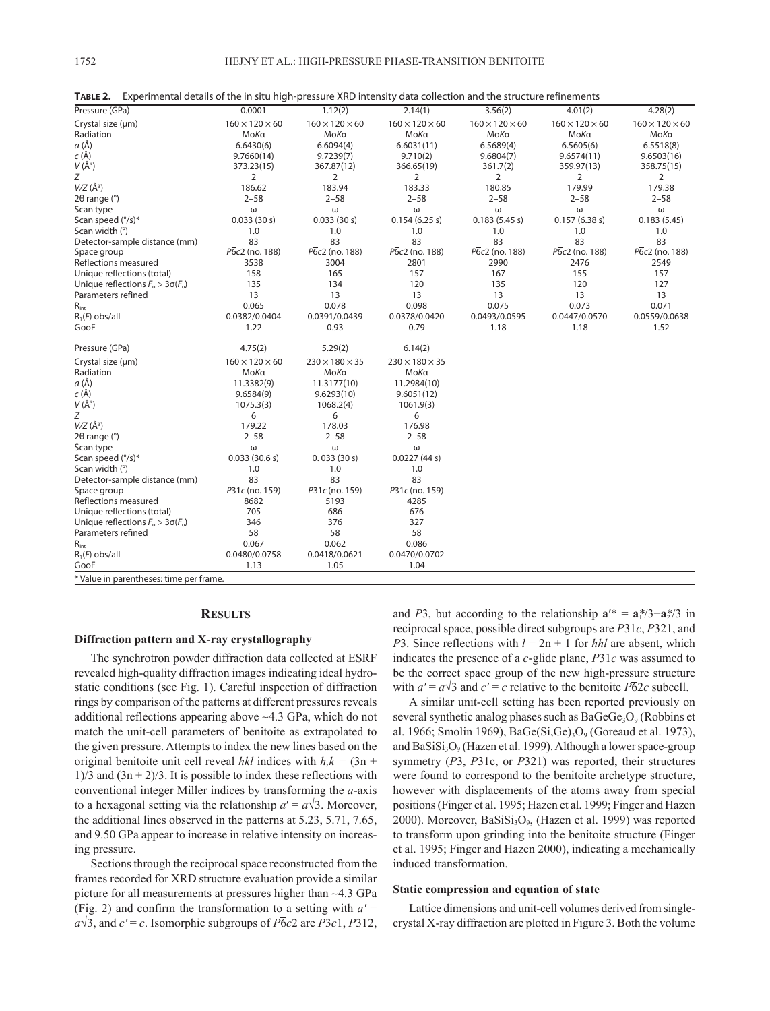| Pressure (GPa)                          | 0.0001                     | 1.12(2)                    | 2.14(1)                    | 3.56(2)                    | 4.01(2)                    | 4.28(2)                    |
|-----------------------------------------|----------------------------|----------------------------|----------------------------|----------------------------|----------------------------|----------------------------|
| Crystal size (um)                       | $160 \times 120 \times 60$ | $160 \times 120 \times 60$ | $160 \times 120 \times 60$ | $160 \times 120 \times 60$ | $160 \times 120 \times 60$ | $160 \times 120 \times 60$ |
| Radiation                               | MoKa                       | MoKa                       | MoKa                       | MoKa                       | MoKa                       | MoKa                       |
| a (Å)                                   | 6.6430(6)                  | 6.6094(4)                  | 6.6031(11)                 | 6.5689(4)                  | 6.5605(6)                  | 6.5518(8)                  |
| $c(\text{\AA})$                         | 9.7660(14)                 | 9.7239(7)                  | 9.710(2)                   | 9.6804(7)                  | 9.6574(11)                 | 9.6503(16)                 |
| $V(\AA^3)$                              | 373.23(15)                 | 367.87(12)                 | 366.65(19)                 | 361.7(2)                   | 359.97(13)                 | 358.75(15)                 |
| Z                                       | 2                          | 2                          | 2                          | $\overline{2}$             | $\overline{2}$             | 2                          |
| $V/Z(\AA^3)$                            | 186.62                     | 183.94                     | 183.33                     | 180.85                     | 179.99                     | 179.38                     |
| $2\theta$ range ( $\degree$ )           | $2 - 58$                   | $2 - 58$                   | $2 - 58$                   | $2 - 58$                   | $2 - 58$                   | $2 - 58$                   |
| Scan type                               | ω                          | ω                          | ω                          | ω                          | ω                          | ω                          |
| Scan speed (°/s)*                       | 0.033(30 s)                | 0.033(30 s)                | 0.154(6.25 s)              | 0.183(5.45 s)              | 0.157(6.38 s)              | 0.183(5.45)                |
| Scan width (°)                          | 1.0                        | 1.0                        | 1.0                        | 1.0                        | 1.0                        | 1.0                        |
| Detector-sample distance (mm)           | 83                         | 83                         | 83                         | 83                         | 83                         | 83                         |
| Space group                             | P6c2 (no. 188)             | P6c2 (no. 188)             | $P\bar{6}c2$ (no. 188)     | P6c2 (no. 188)             | P6c2 (no. 188)             | P6c2 (no. 188)             |
| Reflections measured                    | 3538                       | 3004                       | 2801                       | 2990                       | 2476                       | 2549                       |
| Unique reflections (total)              | 158                        | 165                        | 157                        | 167                        | 155                        | 157                        |
| Unique reflections $F_0 > 3\sigma(F_0)$ | 135                        | 134                        | 120                        | 135                        | 120                        | 127                        |
| Parameters refined                      | 13                         | 13                         | 13                         | 13                         | 13                         | 13                         |
| $R_{int}$                               | 0.065                      | 0.078                      | 0.098                      | 0.075                      | 0.073                      | 0.071                      |
| $R_1(F)$ obs/all                        | 0.0382/0.0404              | 0.0391/0.0439              | 0.0378/0.0420              | 0.0493/0.0595              | 0.0447/0.0570              | 0.0559/0.0638              |
| GooF                                    | 1.22                       | 0.93                       | 0.79                       | 1.18                       | 1.18                       | 1.52                       |
| Pressure (GPa)                          | 4.75(2)                    | 5.29(2)                    | 6.14(2)                    |                            |                            |                            |
| Crystal size (um)                       | $160 \times 120 \times 60$ | $230 \times 180 \times 35$ | $230 \times 180 \times 35$ |                            |                            |                            |
| Radiation                               | MoKa                       | МоКа                       | MoKa                       |                            |                            |                            |
| a (Å)                                   | 11.3382(9)                 | 11.3177(10)                | 11.2984(10)                |                            |                            |                            |
| $c(\text{\AA})$                         | 9.6584(9)                  | 9.6293(10)                 | 9.6051(12)                 |                            |                            |                            |
| $V(\AA^3)$                              | 1075.3(3)                  | 1068.2(4)                  | 1061.9(3)                  |                            |                            |                            |
| Ζ                                       | 6                          | 6                          | 6                          |                            |                            |                            |
| $V/Z$ (Å <sup>3</sup> )                 | 179.22                     | 178.03                     | 176.98                     |                            |                            |                            |
| $2\theta$ range ( $\degree$ )           | $2 - 58$                   | $2 - 58$                   | $2 - 58$                   |                            |                            |                            |
| Scan type                               | ω                          | ω                          | ω                          |                            |                            |                            |
| Scan speed (°/s)*                       | 0.033(30.6 s)              | 0.033(30 s)                | 0.0227(44 s)               |                            |                            |                            |
| Scan width (°)                          | 1.0                        | 1.0                        | 1.0                        |                            |                            |                            |
| Detector-sample distance (mm)           | 83                         | 83                         | 83                         |                            |                            |                            |
| Space group                             | P31c (no. 159)             | P31c (no. 159)             | P31c (no. 159)             |                            |                            |                            |
| Reflections measured                    | 8682                       | 5193                       | 4285                       |                            |                            |                            |
| Unique reflections (total)              | 705                        | 686                        | 676                        |                            |                            |                            |
| Unique reflections $F_o > 3\sigma(F_o)$ | 346                        | 376                        | 327                        |                            |                            |                            |
| Parameters refined                      | 58                         | 58                         | 58                         |                            |                            |                            |
| $R_{int}$                               | 0.067                      | 0.062                      | 0.086                      |                            |                            |                            |
| $R_1(F)$ obs/all                        | 0.0480/0.0758              | 0.0418/0.0621              | 0.0470/0.0702              |                            |                            |                            |
| GooF                                    | 1.13                       | 1.05                       | 1.04                       |                            |                            |                            |
| * Value in parentheses: time per frame. |                            |                            |                            |                            |                            |                            |

**Table 2.** Experimental details of the in situ high-pressure XRD intensity data collection and the structure refinements

#### **Results**

### **Diffraction pattern and X-ray crystallography**

The synchrotron powder diffraction data collected at ESRF revealed high-quality diffraction images indicating ideal hydrostatic conditions (see Fig. 1). Careful inspection of diffraction rings by comparison of the patterns at different pressures reveals additional reflections appearing above ∼4.3 GPa, which do not match the unit-cell parameters of benitoite as extrapolated to the given pressure. Attempts to index the new lines based on the original benitoite unit cell reveal *hkl* indices with  $h, k = (3n +$  $1/3$  and  $(3n + 2)/3$ . It is possible to index these reflections with conventional integer Miller indices by transforming the *a*-axis to a hexagonal setting via the relationship  $a' = a\sqrt{3}$ . Moreover, the additional lines observed in the patterns at 5.23, 5.71, 7.65, and 9.50 GPa appear to increase in relative intensity on increasing pressure.

Sections through the reciprocal space reconstructed from the frames recorded for XRD structure evaluation provide a similar picture for all measurements at pressures higher than ∼4.3 GPa (Fig. 2) and confirm the transformation to a setting with *a′* =  $a\sqrt{3}$ , and  $c' = c$ . Isomorphic subgroups of  $\overline{P6}c2$  are  $\overline{P3}c1$ ,  $\overline{P3}12$ , and *P*3, but according to the relationship  $\mathbf{a}'^* = \mathbf{a}_1^* / 3 + \mathbf{a}_2^* / 3$  in reciprocal space, possible direct subgroups are *P*31*c*, *P*321, and *P*3. Since reflections with  $l = 2n + 1$  for *hhl* are absent, which indicates the presence of a *c*-glide plane, *P*31*c* was assumed to be the correct space group of the new high-pressure structure with  $a' = a\sqrt{3}$  and  $c' = c$  relative to the benitoite  $\overline{P62c}$  subcell.

A similar unit-cell setting has been reported previously on several synthetic analog phases such as  $BaGeGe<sub>3</sub>O<sub>9</sub>$  (Robbins et al. 1966; Smolin 1969), BaGe $(Si, Ge)_3O_9$  (Goreaud et al. 1973), and  $BaSiSi<sub>3</sub>O<sub>9</sub>$  (Hazen et al. 1999). Although a lower space-group symmetry (*P*3, *P*31c, or *P*321) was reported, their structures were found to correspond to the benitoite archetype structure, however with displacements of the atoms away from special positions (Finger et al. 1995; Hazen et al. 1999; Finger and Hazen 2000). Moreover, BaSiSi<sub>3</sub>O<sub>9</sub>, (Hazen et al. 1999) was reported to transform upon grinding into the benitoite structure (Finger et al. 1995; Finger and Hazen 2000), indicating a mechanically induced transformation.

### **Static compression and equation of state**

Lattice dimensions and unit-cell volumes derived from singlecrystal X-ray diffraction are plotted in Figure 3. Both the volume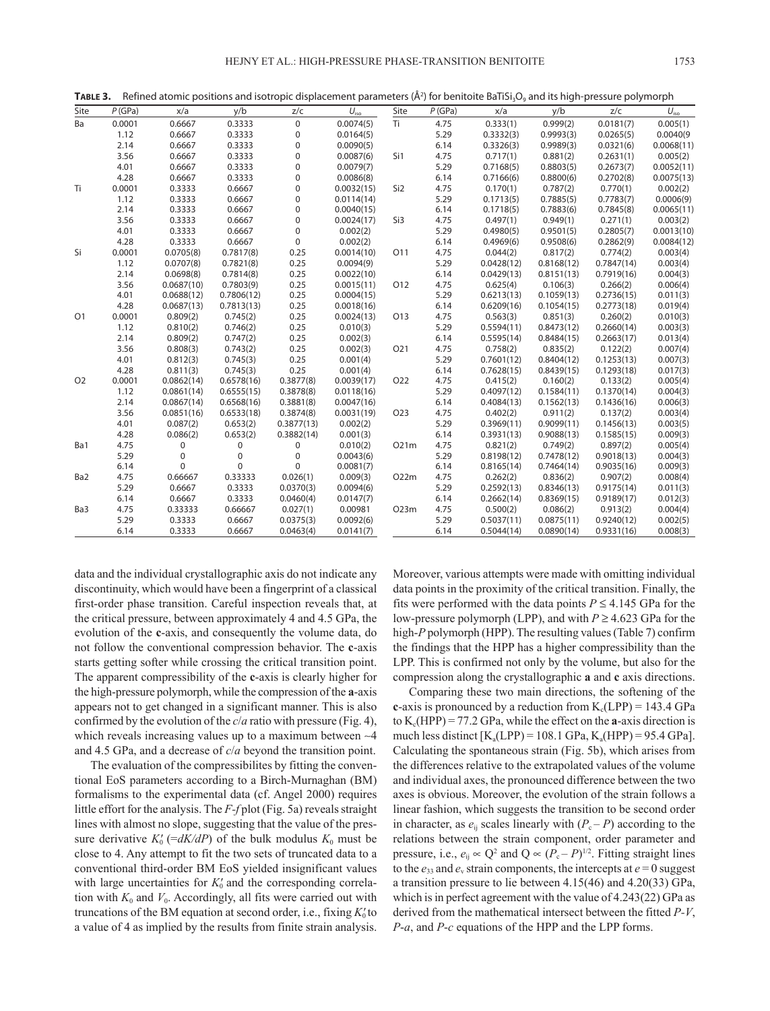| Site           | P(GPa) | x/a         | y/b              | Z/C         | $U_{\text{iso}}$ | Site             | P(GPa) | x/a        | y/b        | z/c        | $U_{\rm iso}$ |
|----------------|--------|-------------|------------------|-------------|------------------|------------------|--------|------------|------------|------------|---------------|
| Ba             | 0.0001 | 0.6667      | 0.3333           | $\mathbf 0$ | 0.0074(5)        | Ti               | 4.75   | 0.333(1)   | 0.999(2)   | 0.0181(7)  | 0.005(1)      |
|                | 1.12   | 0.6667      | 0.3333           | 0           | 0.0164(5)        |                  | 5.29   | 0.3332(3)  | 0.9993(3)  | 0.0265(5)  | 0.0040(9)     |
|                | 2.14   | 0.6667      | 0.3333           | $\pmb{0}$   | 0.0090(5)        |                  | 6.14   | 0.3326(3)  | 0.9989(3)  | 0.0321(6)  | 0.0068(11)    |
|                | 3.56   | 0.6667      | 0.3333           | $\pmb{0}$   | 0.0087(6)        | Si1              | 4.75   | 0.717(1)   | 0.881(2)   | 0.2631(1)  | 0.005(2)      |
|                | 4.01   | 0.6667      | 0.3333           | 0           | 0.0079(7)        |                  | 5.29   | 0.7168(5)  | 0.8803(5)  | 0.2673(7)  | 0.0052(11)    |
|                | 4.28   | 0.6667      | 0.3333           | $\pmb{0}$   | 0.0086(8)        |                  | 6.14   | 0.7166(6)  | 0.8800(6)  | 0.2702(8)  | 0.0075(13)    |
| Ti             | 0.0001 | 0.3333      | 0.6667           | 0           | 0.0032(15)       | Si <sub>2</sub>  | 4.75   | 0.170(1)   | 0.787(2)   | 0.770(1)   | 0.002(2)      |
|                | 1.12   | 0.3333      | 0.6667           | $\mathbf 0$ | 0.0114(14)       |                  | 5.29   | 0.1713(5)  | 0.7885(5)  | 0.7783(7)  | 0.0006(9)     |
|                | 2.14   | 0.3333      | 0.6667           | $\mathbf 0$ | 0.0040(15)       |                  | 6.14   | 0.1718(5)  | 0.7883(6)  | 0.7845(8)  | 0.0065(11)    |
|                | 3.56   | 0.3333      | 0.6667           | $\mathbf 0$ | 0.0024(17)       | Si3              | 4.75   | 0.497(1)   | 0.949(1)   | 0.271(1)   | 0.003(2)      |
|                | 4.01   | 0.3333      | 0.6667           | 0           | 0.002(2)         |                  | 5.29   | 0.4980(5)  | 0.9501(5)  | 0.2805(7)  | 0.0013(10)    |
|                | 4.28   | 0.3333      | 0.6667           | $\pmb{0}$   | 0.002(2)         |                  | 6.14   | 0.4969(6)  | 0.9508(6)  | 0.2862(9)  | 0.0084(12)    |
| Si             | 0.0001 | 0.0705(8)   | 0.7817(8)        | 0.25        | 0.0014(10)       | O11              | 4.75   | 0.044(2)   | 0.817(2)   | 0.774(2)   | 0.003(4)      |
|                | 1.12   | 0.0707(8)   | 0.7821(8)        | 0.25        | 0.0094(9)        |                  | 5.29   | 0.0428(12) | 0.8168(12) | 0.7847(14) | 0.003(4)      |
|                | 2.14   | 0.0698(8)   | 0.7814(8)        | 0.25        | 0.0022(10)       |                  | 6.14   | 0.0429(13) | 0.8151(13) | 0.7919(16) | 0.004(3)      |
|                | 3.56   | 0.0687(10)  | 0.7803(9)        | 0.25        | 0.0015(11)       | O12              | 4.75   | 0.625(4)   | 0.106(3)   | 0.266(2)   | 0.006(4)      |
|                | 4.01   | 0.0688(12)  | 0.7806(12)       | 0.25        | 0.0004(15)       |                  | 5.29   | 0.6213(13) | 0.1059(13) | 0.2736(15) | 0.011(3)      |
|                | 4.28   | 0.0687(13)  | 0.7813(13)       | 0.25        | 0.0018(16)       |                  | 6.14   | 0.6209(16) | 0.1054(15) | 0.2773(18) | 0.019(4)      |
| O <sub>1</sub> | 0.0001 | 0.809(2)    | 0.745(2)         | 0.25        | 0.0024(13)       | O13              | 4.75   | 0.563(3)   | 0.851(3)   | 0.260(2)   | 0.010(3)      |
|                | 1.12   | 0.810(2)    | 0.746(2)         | 0.25        | 0.010(3)         |                  | 5.29   | 0.5594(11) | 0.8473(12) | 0.2660(14) | 0.003(3)      |
|                | 2.14   | 0.809(2)    | 0.747(2)         | 0.25        | 0.002(3)         |                  | 6.14   | 0.5595(14) | 0.8484(15) | 0.2663(17) | 0.013(4)      |
|                | 3.56   | 0.808(3)    | 0.743(2)         | 0.25        | 0.002(3)         | O <sub>21</sub>  | 4.75   | 0.758(2)   | 0.835(2)   | 0.122(2)   | 0.007(4)      |
|                | 4.01   | 0.812(3)    | 0.745(3)         | 0.25        | 0.001(4)         |                  | 5.29   | 0.7601(12) | 0.8404(12) | 0.1253(13) | 0.007(3)      |
|                | 4.28   | 0.811(3)    | 0.745(3)         | 0.25        | 0.001(4)         |                  | 6.14   | 0.7628(15) | 0.8439(15) | 0.1293(18) | 0.017(3)      |
| O <sub>2</sub> | 0.0001 | 0.0862(14)  | 0.6578(16)       | 0.3877(8)   | 0.0039(17)       | O <sub>22</sub>  | 4.75   | 0.415(2)   | 0.160(2)   | 0.133(2)   | 0.005(4)      |
|                | 1.12   | 0.0861(14)  | 0.6555(15)       | 0.3878(8)   | 0.0118(16)       |                  | 5.29   | 0.4097(12) | 0.1584(11) | 0.1370(14) | 0.004(3)      |
|                | 2.14   | 0.0867(14)  | 0.6568(16)       | 0.3881(8)   | 0.0047(16)       |                  | 6.14   | 0.4084(13) | 0.1562(13) | 0.1436(16) | 0.006(3)      |
|                | 3.56   | 0.0851(16)  | 0.6533(18)       | 0.3874(8)   | 0.0031(19)       | O <sub>2</sub> 3 | 4.75   | 0.402(2)   | 0.911(2)   | 0.137(2)   | 0.003(4)      |
|                | 4.01   | 0.087(2)    | 0.653(2)         | 0.3877(13)  | 0.002(2)         |                  | 5.29   | 0.3969(11) | 0.9099(11) | 0.1456(13) | 0.003(5)      |
|                | 4.28   | 0.086(2)    | 0.653(2)         | 0.3882(14)  | 0.001(3)         |                  | 6.14   | 0.3931(13) | 0.9088(13) | 0.1585(15) | 0.009(3)      |
| Ba1            | 4.75   | $\mathbf 0$ | $\boldsymbol{0}$ | 0           | 0.010(2)         | O21m             | 4.75   | 0.821(2)   | 0.749(2)   | 0.897(2)   | 0.005(4)      |
|                | 5.29   | $\mathsf 0$ | $\pmb{0}$        | $\pmb{0}$   | 0.0043(6)        |                  | 5.29   | 0.8198(12) | 0.7478(12) | 0.9018(13) | 0.004(3)      |
|                | 6.14   | $\Omega$    | $\Omega$         | $\Omega$    | 0.0081(7)        |                  | 6.14   | 0.8165(14) | 0.7464(14) | 0.9035(16) | 0.009(3)      |
| Ba2            | 4.75   | 0.66667     | 0.33333          | 0.026(1)    | 0.009(3)         | O22m             | 4.75   | 0.262(2)   | 0.836(2)   | 0.907(2)   | 0.008(4)      |
|                | 5.29   | 0.6667      | 0.3333           | 0.0370(3)   | 0.0094(6)        |                  | 5.29   | 0.2592(13) | 0.8346(13) | 0.9175(14) | 0.011(3)      |
|                | 6.14   | 0.6667      | 0.3333           | 0.0460(4)   | 0.0147(7)        |                  | 6.14   | 0.2662(14) | 0.8369(15) | 0.9189(17) | 0.012(3)      |
| Ba3            | 4.75   | 0.33333     | 0.66667          | 0.027(1)    | 0.00981          | O23m             | 4.75   | 0.500(2)   | 0.086(2)   | 0.913(2)   | 0.004(4)      |
|                | 5.29   | 0.3333      | 0.6667           | 0.0375(3)   | 0.0092(6)        |                  | 5.29   | 0.5037(11) | 0.0875(11) | 0.9240(12) | 0.002(5)      |
|                | 6.14   | 0.3333      | 0.6667           | 0.0463(4)   | 0.0141(7)        |                  | 6.14   | 0.5044(14) | 0.0890(14) | 0.9331(16) | 0.008(3)      |

**TABLE 3.** Refined atomic positions and isotropic displacement parameters (Å<sup>2</sup>) for benitoite BaTiSi<sub>3</sub>O<sub>9</sub> and its high-pressure polymorph

data and the individual crystallographic axis do not indicate any discontinuity, which would have been a fingerprint of a classical first-order phase transition. Careful inspection reveals that, at the critical pressure, between approximately 4 and 4.5 GPa, the evolution of the **c**-axis, and consequently the volume data, do not follow the conventional compression behavior. The **c**-axis starts getting softer while crossing the critical transition point. The apparent compressibility of the **c**-axis is clearly higher for the high-pressure polymorph, while the compression of the **a**-axis appears not to get changed in a significant manner. This is also confirmed by the evolution of the *c*/*a* ratio with pressure (Fig. 4), which reveals increasing values up to a maximum between ∼4 and 4.5 GPa, and a decrease of *c*/*a* beyond the transition point.

The evaluation of the compressibilites by fitting the conventional EoS parameters according to a Birch-Murnaghan (BM) formalisms to the experimental data (cf. Angel 2000) requires little effort for the analysis. The *F-f* plot (Fig. 5a) reveals straight lines with almost no slope, suggesting that the value of the pressure derivative  $K_0'$  (= $dK/dP$ ) of the bulk modulus  $K_0$  must be close to 4. Any attempt to fit the two sets of truncated data to a conventional third-order BM EoS yielded insignificant values with large uncertainties for  $K_0'$  and the corresponding correlation with  $K_0$  and  $V_0$ . Accordingly, all fits were carried out with truncations of the BM equation at second order, i.e., fixing  $K_0'$  to a value of 4 as implied by the results from finite strain analysis.

Moreover, various attempts were made with omitting individual data points in the proximity of the critical transition. Finally, the fits were performed with the data points  $P \le 4.145$  GPa for the low-pressure polymorph (LPP), and with *P* ≥ 4.623 GPa for the high-*P* polymorph (HPP). The resulting values (Table 7) confirm the findings that the HPP has a higher compressibility than the LPP. This is confirmed not only by the volume, but also for the compression along the crystallographic **a** and **c** axis directions.

Comparing these two main directions, the softening of the **c**-axis is pronounced by a reduction from  $K_c(LPP) = 143.4 \text{ GPa}$ to  $K_c(HPP) = 77.2$  GPa, while the effect on the **a**-axis direction is much less distinct  $[K_a(LPP) = 108.1 \text{ GPa}, K_a(HPP) = 95.4 \text{ GPa}].$ Calculating the spontaneous strain (Fig. 5b), which arises from the differences relative to the extrapolated values of the volume and individual axes, the pronounced difference between the two axes is obvious. Moreover, the evolution of the strain follows a linear fashion, which suggests the transition to be second order in character, as  $e_{ij}$  scales linearly with  $(P_c - P)$  according to the relations between the strain component, order parameter and pressure, i.e.,  $e_{ij} \propto Q^2$  and  $Q \propto (P_c - P)^{1/2}$ . Fitting straight lines to the  $e_{33}$  and  $e_v$  strain components, the intercepts at  $e = 0$  suggest a transition pressure to lie between 4.15(46) and 4.20(33) GPa, which is in perfect agreement with the value of 4.243(22) GPa as derived from the mathematical intersect between the fitted *P-V*, *P*-*a*, and *P*-*c* equations of the HPP and the LPP forms.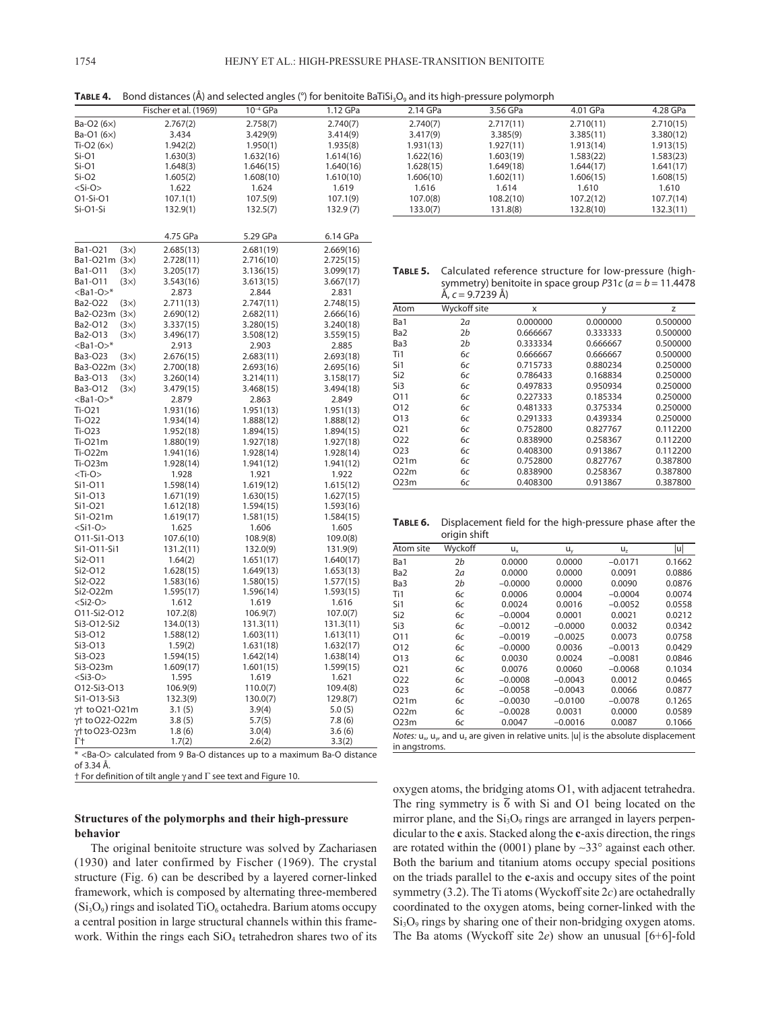**TABLE 4.** Bond distances (Å) and selected angles (°) for benitoite BaTiSi<sub>3</sub>O<sub>9</sub> and its high-pressure polymorph

|                            | Fischer et al. (1969)                                                          | $10^{-4}$ GPa | 1.12 GPa  | 2.14 GPa         |                                                                                                       | 3.56 GPa                                                    | 4.01 GPa  |           | 4.28 GPa  |
|----------------------------|--------------------------------------------------------------------------------|---------------|-----------|------------------|-------------------------------------------------------------------------------------------------------|-------------------------------------------------------------|-----------|-----------|-----------|
| Ba-O2 (6×)                 | 2.767(2)                                                                       | 2.758(7)      | 2.740(7)  | 2.740(7)         |                                                                                                       | 2.717(11)                                                   | 2.710(11) |           | 2.710(15) |
| Ba-O1 (6×)                 | 3.434                                                                          | 3.429(9)      | 3.414(9)  | 3.417(9)         |                                                                                                       | 3.385(9)                                                    | 3.385(11) |           | 3.380(12) |
| Ti-O2 $(6x)$               | 1.942(2)                                                                       | 1.950(1)      | 1.935(8)  | 1.931(13)        |                                                                                                       | 1.927(11)                                                   | 1.913(14) |           | 1.913(15) |
| Si-O1                      | 1.630(3)                                                                       | 1.632(16)     | 1.614(16) | 1.622(16)        |                                                                                                       | 1.603(19)                                                   | 1.583(22) |           | 1.583(23) |
| $Si-O1$                    | 1.648(3)                                                                       | 1.646(15)     | 1.640(16) | 1.628(15)        |                                                                                                       | 1.649(18)                                                   | 1.644(17) |           |           |
|                            |                                                                                |               |           |                  |                                                                                                       |                                                             |           |           | 1.641(17) |
| $Si-O2$                    | 1.605(2)                                                                       | 1.608(10)     | 1.610(10) | 1.606(10)        |                                                                                                       | 1.602(11)                                                   | 1.606(15) |           | 1.608(15) |
| <si-o></si-o>              | 1.622                                                                          | 1.624         | 1.619     | 1.616            |                                                                                                       | 1.614                                                       | 1.610     |           | 1.610     |
| O1-Si-O1                   | 107.1(1)                                                                       | 107.5(9)      | 107.1(9)  | 107.0(8)         |                                                                                                       | 108.2(10)                                                   | 107.2(12) |           | 107.7(14) |
| Si-O1-Si                   | 132.9(1)                                                                       | 132.5(7)      | 132.9(7)  | 133.0(7)         |                                                                                                       | 131.8(8)                                                    | 132.8(10) |           | 132.3(11) |
|                            | 4.75 GPa                                                                       | 5.29 GPa      | 6.14 GPa  |                  |                                                                                                       |                                                             |           |           |           |
|                            |                                                                                |               |           |                  |                                                                                                       |                                                             |           |           |           |
| Ba1-O21<br>(3x)            | 2.685(13)                                                                      | 2.681(19)     | 2.669(16) |                  |                                                                                                       |                                                             |           |           |           |
| Ba1-O21m (3x)              | 2.728(11)                                                                      | 2.716(10)     | 2.725(15) |                  |                                                                                                       |                                                             |           |           |           |
| Ba1-011<br>$(3\times)$     | 3.205(17)                                                                      | 3.136(15)     | 3.099(17) | TABLE 5.         |                                                                                                       | Calculated reference structure for low-pressure (hig        |           |           |           |
| Ba1-O11<br>(3x)            | 3.543(16)                                                                      | 3.613(15)     | 3.667(17) |                  |                                                                                                       | symmetry) benitoite in space group P31c ( $a = b = 11.44$ ) |           |           |           |
| $<$ Ba1-O $>$ *            | 2.873                                                                          | 2.844         | 2.831     |                  | Å, c = 9.7239 Å)                                                                                      |                                                             |           |           |           |
| Ba2-O22<br>(3x)            | 2.711(13)                                                                      | 2.747(11)     | 2.748(15) |                  |                                                                                                       |                                                             |           |           |           |
| Ba2-O23m (3x)              | 2.690(12)                                                                      | 2.682(11)     | 2.666(16) | Atom             | Wyckoff site                                                                                          | $\pmb{\times}$                                              |           | y         | Z         |
| Ba2-O12<br>(3x)            | 3.337(15)                                                                      | 3.280(15)     | 3.240(18) | Ba1              | 2a                                                                                                    | 0.000000                                                    |           | 0.000000  | 0.50000   |
| Ba2-O13<br>(3x)            | 3.496(17)                                                                      | 3.508(12)     | 3.559(15) | Ba2              | 2 <sub>b</sub>                                                                                        | 0.666667                                                    |           | 0.333333  | 0.50000   |
| $<$ Ba1-O $>$ *            | 2.913                                                                          | 2.903         | 2.885     | Ba3              | 2 <sub>b</sub>                                                                                        | 0.333334                                                    |           | 0.666667  | 0.50000   |
| Ba3-O23<br>(3x)            | 2.676(15)                                                                      | 2.683(11)     | 2.693(18) | Ti1              | бс                                                                                                    | 0.666667                                                    |           | 0.666667  | 0.50000   |
|                            |                                                                                |               |           | Si1              | 6c                                                                                                    | 0.715733                                                    |           | 0.880234  | 0.25000   |
| Ba3-O22m (3x)              | 2.700(18)                                                                      | 2.693(16)     | 2.695(16) | Si <sub>2</sub>  | 6c                                                                                                    | 0.786433                                                    |           | 0.168834  | 0.25000   |
| Ba3-O13<br>$(3\times)$     | 3.260(14)                                                                      | 3.214(11)     | 3.158(17) | Si3              | 6c                                                                                                    | 0.497833                                                    |           | 0.950934  | 0.25000   |
| Ba3-O12<br>(3x)            | 3.479(15)                                                                      | 3.468(15)     | 3.494(18) |                  |                                                                                                       |                                                             |           |           |           |
| $<$ Ba1-O $>$ *            | 2.879                                                                          | 2.863         | 2.849     | 011              | 6c                                                                                                    | 0.227333                                                    |           | 0.185334  | 0.25000   |
| Ti-021                     | 1.931(16)                                                                      | 1.951(13)     | 1.951(13) | 012              | бc                                                                                                    | 0.481333                                                    |           | 0.375334  | 0.25000   |
| Ti-022                     | 1.934(14)                                                                      | 1.888(12)     | 1.888(12) | 013              | 6c                                                                                                    | 0.291333                                                    |           | 0.439334  | 0.25000   |
| Ti-023                     | 1.952(18)                                                                      | 1.894(15)     | 1.894(15) | O <sub>2</sub> 1 | 6с                                                                                                    | 0.752800                                                    |           | 0.827767  | 0.11220   |
| Ti-021m                    | 1.880(19)                                                                      | 1.927(18)     | 1.927(18) | 022              | бc                                                                                                    | 0.838900                                                    |           | 0.258367  | 0.11220   |
| Ti-022m                    | 1.941(16)                                                                      | 1.928(14)     | 1.928(14) | 023              | 6c                                                                                                    | 0.408300                                                    |           | 0.913867  | 0.11220   |
| Ti-023m                    | 1.928(14)                                                                      | 1.941(12)     | 1.941(12) | 021m             | 6с                                                                                                    | 0.752800                                                    |           | 0.827767  | 0.38780   |
| $<$ Ti-O>                  | 1.928                                                                          | 1.921         | 1.922     | 022m             | 6c                                                                                                    | 0.838900                                                    |           | 0.258367  | 0.38780   |
| Si1-011                    | 1.598(14)                                                                      | 1.619(12)     | 1.615(12) | O23m             | бc                                                                                                    | 0.408300                                                    |           | 0.913867  | 0.38780   |
| Si1-013                    | 1.671(19)                                                                      | 1.630(15)     | 1.627(15) |                  |                                                                                                       |                                                             |           |           |           |
| Si1-O21                    | 1.612(18)                                                                      | 1.594(15)     | 1.593(16) |                  |                                                                                                       |                                                             |           |           |           |
| Si1-021m                   |                                                                                | 1.581(15)     |           |                  |                                                                                                       |                                                             |           |           |           |
|                            | 1.619(17)                                                                      |               | 1.584(15) | TABLE 6.         |                                                                                                       | Displacement field for the high-pressure phase after th     |           |           |           |
| $<$ Si1-O>                 | 1.625                                                                          | 1.606         | 1.605     |                  | origin shift                                                                                          |                                                             |           |           |           |
| O11-Si1-O13                | 107.6(10)                                                                      | 108.9(8)      | 109.0(8)  |                  |                                                                                                       |                                                             |           |           |           |
| Si1-O11-Si1                | 131.2(11)                                                                      | 132.0(9)      | 131.9(9)  | Atom site        | Wyckoff                                                                                               | $u_{x}$                                                     | $u_{y}$   | $U_z$     | u         |
| Si2-O11                    | 1.64(2)                                                                        | 1.651(17)     | 1.640(17) | Ba1              | 2b                                                                                                    | 0.0000                                                      | 0.0000    | $-0.0171$ | 0.166     |
| Si2-O12                    | 1.628(15)                                                                      | 1.649(13)     | 1.653(13) | Ba2              | 2a                                                                                                    | 0.0000                                                      | 0.0000    | 0.0091    | 0.088     |
| Si2-O22                    | 1.583(16)                                                                      | 1.580(15)     | 1.577(15) | Ba3              | 2b                                                                                                    | $-0.0000$                                                   | 0.0000    | 0.0090    | 0.087     |
| Si2-O22m                   | 1.595(17)                                                                      | 1.596(14)     | 1.593(15) | Ti1              | бс                                                                                                    | 0.0006                                                      | 0.0004    | $-0.0004$ | 0.007     |
| $<$ Si2-O $>$              | 1.612                                                                          | 1.619         | 1.616     | Si1              | бс                                                                                                    | 0.0024                                                      | 0.0016    | $-0.0052$ | 0.055     |
| O11-Si2-O12                | 107.2(8)                                                                       | 106.9(7)      | 107.0(7)  | Si <sub>2</sub>  | бс                                                                                                    | $-0.0004$                                                   | 0.0001    | 0.0021    | 0.021     |
| Si3-O12-Si2                | 134.0(13)                                                                      | 131.3(11)     | 131.3(11) | Si3              | бс                                                                                                    | $-0.0012$                                                   | $-0.0000$ | 0.0032    | 0.034     |
| Si3-012                    | 1.588(12)                                                                      | 1.603(11)     | 1.613(11) | 011              | бс                                                                                                    | $-0.0019$                                                   | $-0.0025$ | 0.0073    | 0.075     |
| Si3-013                    | 1.59(2)                                                                        | 1.631(18)     | 1.632(17) |                  |                                                                                                       |                                                             |           |           |           |
| Si3-O23                    | 1.594(15)                                                                      | 1.642(14)     | 1.638(14) | 012              | бс                                                                                                    | $-0.0000$                                                   | 0.0036    | $-0.0013$ | 0.042     |
| Si3-O23m                   |                                                                                |               |           | O13              | бс                                                                                                    | 0.0030                                                      | 0.0024    | $-0.0081$ | 0.084     |
|                            | 1.609(17)                                                                      | 1.601(15)     | 1.599(15) | 021              | бс                                                                                                    | 0.0076                                                      | 0.0060    | $-0.0068$ | 0.103     |
| $<$ Si3-O $>$              | 1.595                                                                          | 1.619         | 1.621     | O22              | бс                                                                                                    | $-0.0008$                                                   | $-0.0043$ | 0.0012    | 0.046     |
| O12-Si3-O13                | 106.9(9)                                                                       | 110.0(7)      | 109.4(8)  | 023              | бс                                                                                                    | $-0.0058$                                                   | $-0.0043$ | 0.0066    | 0.087     |
| Si1-O13-Si3                | 132.3(9)                                                                       | 130.0(7)      | 129.8(7)  | O21m             | бс                                                                                                    | $-0.0030$                                                   | $-0.0100$ | $-0.0078$ | 0.126     |
| γ† to 021-021m             | 3.1(5)                                                                         | 3.9(4)        | 5.0(5)    | 022m             | бс                                                                                                    | $-0.0028$                                                   | 0.0031    | 0.0000    | 0.058     |
| γ <sup>†</sup> to 022-022m | 3.8(5)                                                                         | 5.7(5)        | 7.8(6)    | O23m             | 6с                                                                                                    | 0.0047                                                      | $-0.0016$ | 0.0087    | 0.106     |
| γ <sup>†</sup> to 023-023m | 1.8(6)                                                                         | 3.0(4)        | 3.6(6)    |                  | <i>Notes:</i> $u_x$ , $u_y$ , and $u_z$ are given in relative units. $ u $ is the absolute displaceme |                                                             |           |           |           |
| Γt                         | 1.7(2)                                                                         | 2.6(2)        | 3.3(2)    | in angstroms.    |                                                                                                       |                                                             |           |           |           |
|                            | * <ba-o> calculated from 9 Ba-O distances up to a maximum Ba-O distance</ba-o> |               |           |                  |                                                                                                       |                                                             |           |           |           |

\* <Ba-O> calculated from 9 Ba-O distances up to a maximum Ba-O distance of 3.34 Å.

† For definition of tilt angle γ and Γ see text and Figure 10.

### **Structures of the polymorphs and their high-pressure behavior**

The original benitoite structure was solved by Zachariasen (1930) and later confirmed by Fischer (1969). The crystal structure (Fig. 6) can be described by a layered corner-linked framework, which is composed by alternating three-membered  $(Si<sub>3</sub>O<sub>9</sub>)$  rings and isolated TiO<sub>6</sub> octahedra. Barium atoms occupy a central position in large structural channels within this framework. Within the rings each  $SiO<sub>4</sub>$  tetrahedron shares two of its

| Ti-O2 $(6x)$  | .942(2)  | 1.950(1) | .935(8)   | 1.931(13) | 1.927(11) | 1.913(14) | !.913(15) |
|---------------|----------|----------|-----------|-----------|-----------|-----------|-----------|
| $Si-O1$       | 1.630(3) | .632(16) | .614(16)  | 1.622(16) | 1.603(19) | 1.583(22) | 1.583(23) |
| $Si-O1$       | 1.648(3) | .646(15) | .640(16)  | 1.628(15) | 1.649(18) | 1.644(17) | 1.641(17) |
| $Si-O2$       | 1.605(2) | .608(10) | .610(10)  | I.606(10) | 1.602(11) | 1.606(15) | 1.608(15) |
| <si-o></si-o> | 1.622    | 1.624    | 1.619     | 1.616     | 1.614     | 1.610     | 1.610     |
| O1-Si-O1      | 107.1(1) | 107.5(9) | 107.1(9)  | 107.0(8)  | 108.2(10) | 107.2(12) | 107.7(14) |
| Si-O1-Si      | 132.9(1) | 132.5(7) | 132.9 (7) | 133.0(7)  | 131.8(8)  | 132.8(10) | 132.3(11) |
|               |          |          |           |           |           |           |           |
|               |          |          |           |           |           |           |           |

**Table 5.** Calculated reference structure for low-pressure (highsymmetry) benitoite in space group *P*31*c* (*a* = *b* = 11.4478

|                 | $A, c = 9.7239 \text{ Å}$ |          |          |          |
|-----------------|---------------------------|----------|----------|----------|
| Atom            | Wyckoff site              | x        | У        | Z        |
| Ba1             | 2a                        | 0.000000 | 0.000000 | 0.500000 |
| Ba2             | 2b                        | 0.666667 | 0.333333 | 0.500000 |
| Ba3             | 2b                        | 0.333334 | 0.666667 | 0.500000 |
| Ti1             | 6с                        | 0.666667 | 0.666667 | 0.500000 |
| Si1             | бc                        | 0.715733 | 0.880234 | 0.250000 |
| Si <sub>2</sub> | 6с                        | 0.786433 | 0.168834 | 0.250000 |
| Si3             | 6с                        | 0.497833 | 0.950934 | 0.250000 |
| O <sub>11</sub> | бc                        | 0.227333 | 0.185334 | 0.250000 |
| O <sub>12</sub> | 6с                        | 0.481333 | 0.375334 | 0.250000 |
| O <sub>13</sub> | 6с                        | 0.291333 | 0.439334 | 0.250000 |
| O <sub>21</sub> | бc                        | 0.752800 | 0.827767 | 0.112200 |
| O <sub>22</sub> | 6c                        | 0.838900 | 0.258367 | 0.112200 |
| O <sub>23</sub> | 6с                        | 0.408300 | 0.913867 | 0.112200 |
| O21m            | 6с                        | 0.752800 | 0.827767 | 0.387800 |
| O22m            | 6c                        | 0.838900 | 0.258367 | 0.387800 |
| O23m            | 6с                        | 0.408300 | 0.913867 | 0.387800 |
|                 |                           |          |          |          |

**Table 6.** Displacement field for the high-pressure phase after the origin shift

| Atom site        | <b>,,,,,,,,,,,,,,,</b><br>Wyckoff | u,        | $U_v$     | $U_z$                                                                                                 | u      |
|------------------|-----------------------------------|-----------|-----------|-------------------------------------------------------------------------------------------------------|--------|
| Ba1              | 2b                                | 0.0000    | 0.0000    | $-0.0171$                                                                                             | 0.1662 |
| Ba2              | 2a                                | 0.0000    | 0.0000    | 0.0091                                                                                                | 0.0886 |
| Ba3              | 2b                                | $-0.0000$ | 0.0000    | 0.0090                                                                                                | 0.0876 |
| Ti1              | 6с                                | 0.0006    | 0.0004    | $-0.0004$                                                                                             | 0.0074 |
| Si1              | 6с                                | 0.0024    | 0.0016    | $-0.0052$                                                                                             | 0.0558 |
| Si <sub>2</sub>  | бc                                | $-0.0004$ | 0.0001    | 0.0021                                                                                                | 0.0212 |
| Si3              | 6с                                | $-0.0012$ | $-0.0000$ | 0.0032                                                                                                | 0.0342 |
| O11              | 6с                                | $-0.0019$ | $-0.0025$ | 0.0073                                                                                                | 0.0758 |
| O <sub>12</sub>  | 6с                                | $-0.0000$ | 0.0036    | $-0.0013$                                                                                             | 0.0429 |
| O <sub>13</sub>  | 6с                                | 0.0030    | 0.0024    | $-0.0081$                                                                                             | 0.0846 |
| O <sub>21</sub>  | 6с                                | 0.0076    | 0.0060    | $-0.0068$                                                                                             | 0.1034 |
| O <sub>22</sub>  | бc                                | $-0.0008$ | $-0.0043$ | 0.0012                                                                                                | 0.0465 |
| O <sub>2</sub> 3 | 6с                                | $-0.0058$ | $-0.0043$ | 0.0066                                                                                                | 0.0877 |
| O21m             | 6с                                | $-0.0030$ | $-0.0100$ | $-0.0078$                                                                                             | 0.1265 |
| O22m             | 6с                                | $-0.0028$ | 0.0031    | 0.0000                                                                                                | 0.0589 |
| O23m             | 6с                                | 0.0047    | $-0.0016$ | 0.0087                                                                                                | 0.1066 |
| in angstroms.    |                                   |           |           | <i>Notes:</i> $u_x$ , $u_y$ , and $u_z$ are given in relative units.  u  is the absolute displacement |        |

oxygen atoms, the bridging atoms O1, with adjacent tetrahedra. The ring symmetry is  $\bar{6}$  with Si and O1 being located on the mirror plane, and the  $Si<sub>3</sub>O<sub>9</sub>$  rings are arranged in layers perpendicular to the **c** axis. Stacked along the **c**-axis direction, the rings are rotated within the (0001) plane by ∼33° against each other. Both the barium and titanium atoms occupy special positions on the triads parallel to the **c**-axis and occupy sites of the point symmetry (3.2). The Ti atoms (Wyckoff site 2*c*) are octahedrally coordinated to the oxygen atoms, being corner-linked with the  $Si<sub>3</sub>O<sub>9</sub>$  rings by sharing one of their non-bridging oxygen atoms. The Ba atoms (Wyckoff site 2*e*) show an unusual [6+6]-fold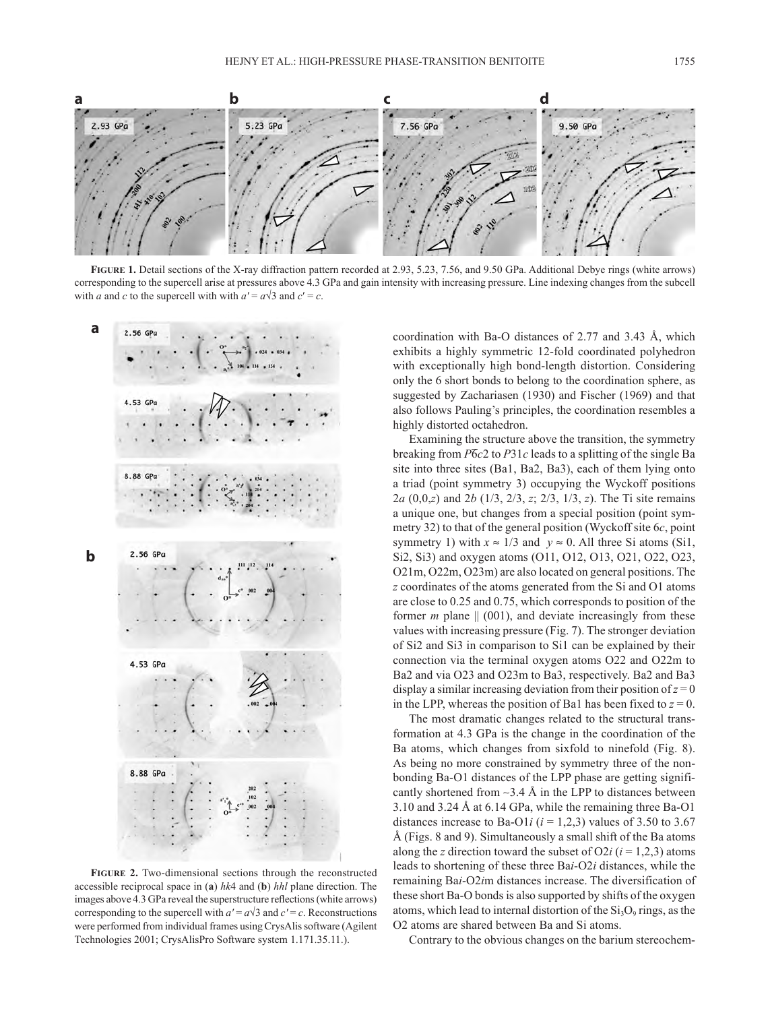

**Figure 1.** Detail sections of the X-ray diffraction pattern recorded at 2.93, 5.23, 7.56, and 9.50 GPa. Additional Debye rings (white arrows) corresponding to the supercell arise at pressures above 4.3 GPa and gain intensity with increasing pressure. Line indexing changes from the subcell with *a* and *c* to the supercell with with  $a' = a\sqrt{3}$  and  $c' = c$ .



**Figure 2.** Two-dimensional sections through the reconstructed accessible reciprocal space in (**a**) *hk*4 and (**b**) *hhl* plane direction. The images above 4.3 GPa reveal the superstructure reflections (white arrows) corresponding to the supercell with  $a' = a\sqrt{3}$  and  $c' = c$ . Reconstructions were performed from individual frames using CrysAlis software (Agilent Technologies 2001; CrysAlisPro Software system 1.171.35.11.).

coordination with Ba-O distances of 2.77 and 3.43 Å, which exhibits a highly symmetric 12-fold coordinated polyhedron with exceptionally high bond-length distortion. Considering only the 6 short bonds to belong to the coordination sphere, as suggested by Zachariasen (1930) and Fischer (1969) and that also follows Pauling's principles, the coordination resembles a highly distorted octahedron.

Examining the structure above the transition, the symmetry breaking from  $\overline{P6c2}$  to  $P31c$  leads to a splitting of the single Ba site into three sites (Ba1, Ba2, Ba3), each of them lying onto a triad (point symmetry 3) occupying the Wyckoff positions 2*a* (0,0,*z*) and 2*b* (1/3, 2/3, *z*; 2/3, 1/3, *z*). The Ti site remains a unique one, but changes from a special position (point symmetry 32) to that of the general position (Wyckoff site 6*c*, point symmetry 1) with  $x \approx 1/3$  and  $y \approx 0$ . All three Si atoms (Si1, Si2, Si3) and oxygen atoms (O11, O12, O13, O21, O22, O23, O21m, O22m, O23m) are also located on general positions. The *z* coordinates of the atoms generated from the Si and O1 atoms are close to 0.25 and 0.75, which corresponds to position of the former  $m$  plane  $|| (001)$ , and deviate increasingly from these values with increasing pressure (Fig. 7). The stronger deviation of Si2 and Si3 in comparison to Si1 can be explained by their connection via the terminal oxygen atoms O22 and O22m to Ba2 and via O23 and O23m to Ba3, respectively. Ba2 and Ba3 display a similar increasing deviation from their position of  $z = 0$ in the LPP, whereas the position of Ba1 has been fixed to  $z = 0$ .

The most dramatic changes related to the structural transformation at 4.3 GPa is the change in the coordination of the Ba atoms, which changes from sixfold to ninefold (Fig. 8). As being no more constrained by symmetry three of the nonbonding Ba-O1 distances of the LPP phase are getting significantly shortened from ∼3.4 Å in the LPP to distances between 3.10 and 3.24 Å at 6.14 GPa, while the remaining three Ba-O1 distances increase to Ba-O1*i* ( $i = 1,2,3$ ) values of 3.50 to 3.67 Å (Figs. 8 and 9). Simultaneously a small shift of the Ba atoms along the *z* direction toward the subset of O2*i* ( $i = 1,2,3$ ) atoms leads to shortening of these three Ba*i*-O2*i* distances, while the remaining Ba*i*-O2*i*m distances increase. The diversification of these short Ba-O bonds is also supported by shifts of the oxygen atoms, which lead to internal distortion of the  $Si<sub>3</sub>O<sub>9</sub>$  rings, as the O2 atoms are shared between Ba and Si atoms.

Contrary to the obvious changes on the barium stereochem-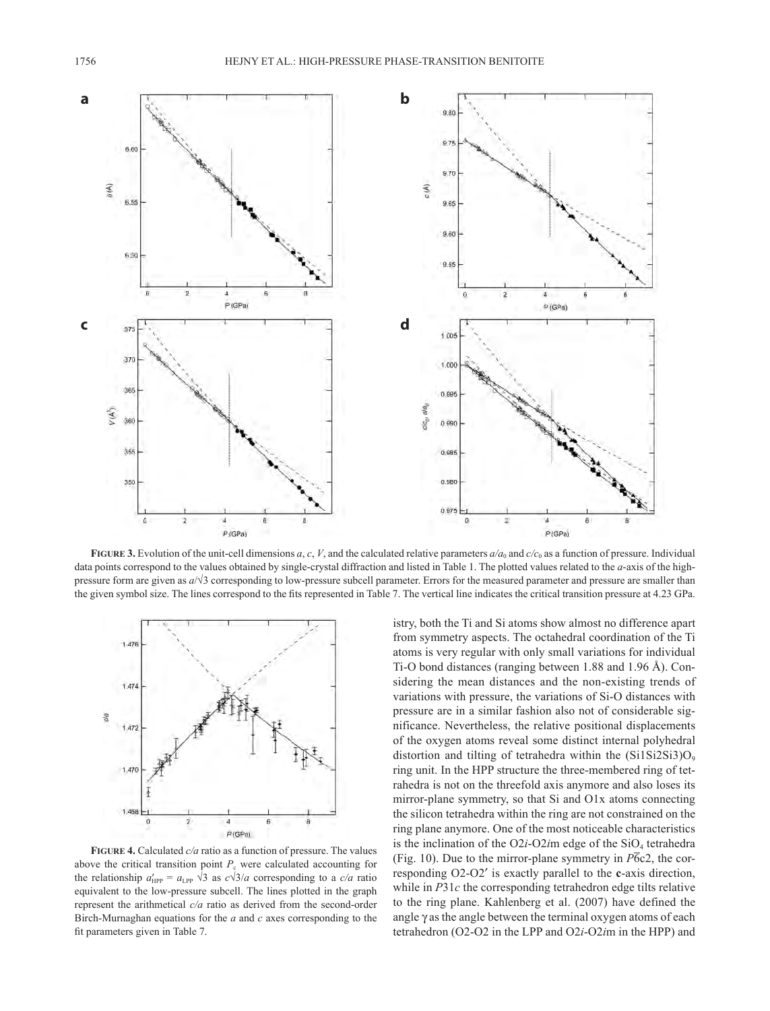

**FIGURE** 3. Evolution of the unit-cell dimensions *a*, *c*, *V*, and the calculated relative parameters  $a/a_0$  and  $c/c_0$  as a function of pressure. Individual data points correspond to the values obtained by single-crystal diffraction and listed in Table 1. The plotted values related to the *a*-axis of the highpressure form are given as *a*/√3 corresponding to low-pressure subcell parameter. Errors for the measured parameter and pressure are smaller than the given symbol size. The lines correspond to the fits represented in Table 7. The vertical line indicates the critical transition pressure at 4.23 GPa.



**Figure 4.** Calculated *c/a* ratio as a function of pressure. The values above the critical transition point  $P_c$  were calculated accounting for the relationship  $a'_{HPP} = a_{LPP} \sqrt{3}$  as  $c\sqrt{3}/a$  corresponding to a  $c/a$  ratio equivalent to the low-pressure subcell. The lines plotted in the graph represent the arithmetical *c/a* ratio as derived from the second-order Birch-Murnaghan equations for the *a* and *c* axes corresponding to the fit parameters given in Table 7.

istry, both the Ti and Si atoms show almost no difference apart from symmetry aspects. The octahedral coordination of the Ti atoms is very regular with only small variations for individual Ti-O bond distances (ranging between 1.88 and 1.96 Å). Considering the mean distances and the non-existing trends of variations with pressure, the variations of Si-O distances with pressure are in a similar fashion also not of considerable significance. Nevertheless, the relative positional displacements of the oxygen atoms reveal some distinct internal polyhedral distortion and tilting of tetrahedra within the  $(Si1Si2Si3)O<sub>9</sub>$ ring unit. In the HPP structure the three-membered ring of tetrahedra is not on the threefold axis anymore and also loses its mirror-plane symmetry, so that Si and O1x atoms connecting the silicon tetrahedra within the ring are not constrained on the ring plane anymore. One of the most noticeable characteristics is the inclination of the  $O2i-O2$ *im* edge of the  $SiO<sub>4</sub>$  tetrahedra (Fig. 10). Due to the mirror-plane symmetry in  $\overline{P6c2}$ , the corresponding O2-O2′ is exactly parallel to the **c**-axis direction, while in *P*31*c* the corresponding tetrahedron edge tilts relative to the ring plane. Kahlenberg et al. (2007) have defined the angle  $\gamma$  as the angle between the terminal oxygen atoms of each tetrahedron (O2-O2 in the LPP and O2*i*-O2*i*m in the HPP) and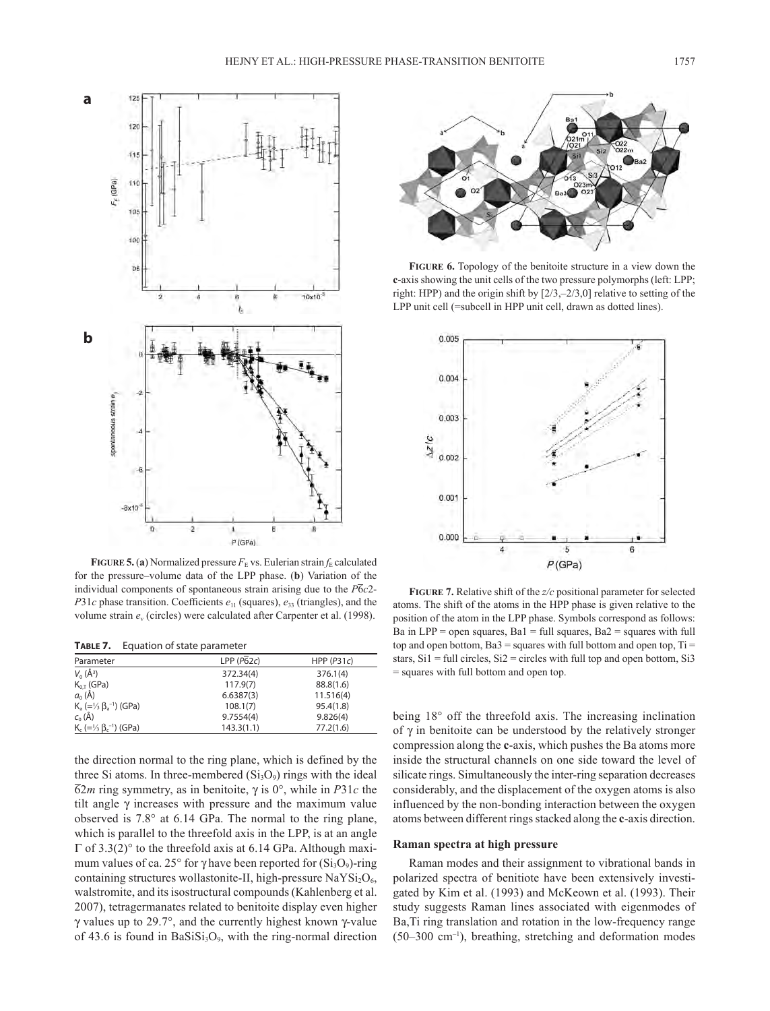

**FIGURE 5.** (a) Normalized pressure  $F<sub>E</sub>$  vs. Eulerian strain  $f<sub>E</sub>$  calculated for the pressure–volume data of the LPP phase. (**b**) Variation of the individual components of spontaneous strain arising due to the *P*6*c*2- *P*31*c* phase transition. Coefficients  $e_{11}$  (squares),  $e_{33}$  (triangles), and the volume strain *e*v (circles) were calculated after Carpenter et al. (1998).

**Table 7.** Equation of state parameter

| Parameter                                              | LPP(P62c)  | HPP $(P31c)$ |
|--------------------------------------------------------|------------|--------------|
| $V_0(\AA^3)$                                           | 372.34(4)  | 376.1(4)     |
| $K_{0,T}$ (GPa)                                        | 117.9(7)   | 88.8(1.6)    |
| $a_0(\AA)$                                             | 6.6387(3)  | 11.516(4)    |
| $K_a (=1/3 \beta_a^{-1})$ (GPa)                        | 108.1(7)   | 95.4(1.8)    |
| $c_0(\AA)$                                             | 9.7554(4)  | 9.826(4)     |
| $K_c$ (= $\frac{1}{3}$ $\beta_c$ <sup>-1</sup> ) (GPa) | 143.3(1.1) | 77.2(1.6)    |

the direction normal to the ring plane, which is defined by the three Si atoms. In three-membered  $(Si<sub>3</sub>O<sub>9</sub>)$  rings with the ideal 62*m* ring symmetry, as in benitoite, γ is 0°, while in *P*31*c* the tilt angle  $\gamma$  increases with pressure and the maximum value observed is 7.8° at 6.14 GPa. The normal to the ring plane, which is parallel to the threefold axis in the LPP, is at an angle Γ of 3.3(2)° to the threefold axis at 6.14 GPa. Although maximum values of ca. 25° for γ have been reported for  $(Si<sub>3</sub>O<sub>9</sub>)$ -ring containing structures wollastonite-II, high-pressure  $\text{NaYSi}_2\text{O}_6$ , walstromite, and its isostructural compounds (Kahlenberg et al. 2007), tetragermanates related to benitoite display even higher γ values up to 29.7°, and the currently highest known γ-value of 43.6 is found in Ba $SiSi<sub>3</sub>O<sub>9</sub>$ , with the ring-normal direction



**Figure 6.** Topology of the benitoite structure in a view down the **c**-axis showing the unit cells of the two pressure polymorphs (left: LPP; right: HPP) and the origin shift by [2/3,–2/3,0] relative to setting of the LPP unit cell (=subcell in HPP unit cell, drawn as dotted lines).



**Figure 7.** Relative shift of the *z/c* positional parameter for selected atoms. The shift of the atoms in the HPP phase is given relative to the position of the atom in the LPP phase. Symbols correspond as follows: Ba in  $LPP =$  open squares,  $Bal = full$  squares,  $Ba2 =$  squares with full top and open bottom, Ba $3$  = squares with full bottom and open top, Ti = stars,  $Si1 = full circles, Si2 = circles with full top and open bottom, Si3$ = squares with full bottom and open top.

being 18° off the threefold axis. The increasing inclination of γ in benitoite can be understood by the relatively stronger compression along the **c**-axis, which pushes the Ba atoms more inside the structural channels on one side toward the level of silicate rings. Simultaneously the inter-ring separation decreases considerably, and the displacement of the oxygen atoms is also influenced by the non-bonding interaction between the oxygen atoms between different rings stacked along the **c**-axis direction.

### **Raman spectra at high pressure**

Raman modes and their assignment to vibrational bands in polarized spectra of benitiote have been extensively investigated by Kim et al. (1993) and McKeown et al. (1993). Their study suggests Raman lines associated with eigenmodes of Ba,Ti ring translation and rotation in the low-frequency range  $(50-300 \text{ cm}^{-1})$ , breathing, stretching and deformation modes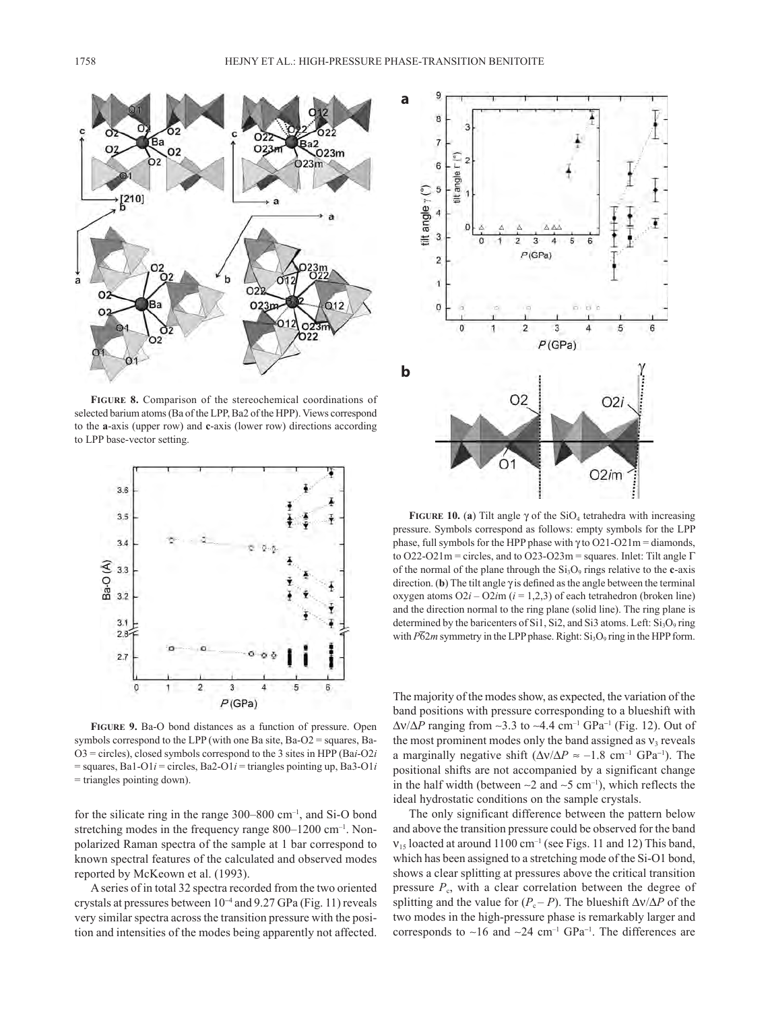

**Figure 8.** Comparison of the stereochemical coordinations of selected barium atoms (Ba of the LPP, Ba2 of the HPP). Views correspond to the **a**-axis (upper row) and **c**-axis (lower row) directions according to LPP base-vector setting.



**Figure 9.** Ba-O bond distances as a function of pressure. Open symbols correspond to the LPP (with one Ba site, Ba-O2 = squares, Ba-O3 = circles), closed symbols correspond to the 3 sites in HPP (Ba*i*-O2*i* = squares, Ba1-O1*i* = circles, Ba2-O1*i* = triangles pointing up, Ba3-O1*i* = triangles pointing down).

for the silicate ring in the range  $300-800$  cm<sup>-1</sup>, and Si-O bond stretching modes in the frequency range 800–1200 cm<sup>-1</sup>. Nonpolarized Raman spectra of the sample at 1 bar correspond to known spectral features of the calculated and observed modes reported by McKeown et al. (1993).

A series of in total 32 spectra recorded from the two oriented crystals at pressures between 10<sup>−</sup><sup>4</sup> and 9.27 GPa (Fig. 11) reveals very similar spectra across the transition pressure with the position and intensities of the modes being apparently not affected.



**FIGURE 10.** (a) Tilt angle  $\gamma$  of the SiO<sub>4</sub> tetrahedra with increasing pressure. Symbols correspond as follows: empty symbols for the LPP phase, full symbols for the HPP phase with  $\gamma$  to O21-O21m = diamonds, to O22-O21m = circles, and to O23-O23m = squares. Inlet: Tilt angle  $\Gamma$ of the normal of the plane through the  $Si<sub>3</sub>O<sub>9</sub>$  rings relative to the **c**-axis direction. **(b)** The tilt angle  $\gamma$  is defined as the angle between the terminal oxygen atoms  $O(2i - O(2im)$  ( $i = 1, 2, 3$ ) of each tetrahedron (broken line) and the direction normal to the ring plane (solid line). The ring plane is determined by the baricenters of Si1, Si2, and Si3 atoms. Left:  $Si<sub>3</sub>O<sub>9</sub>$  ring with  $\overline{P62m}$  symmetry in the LPP phase. Right: Si<sub>3</sub>O<sub>9</sub> ring in the HPP form.

The majority of the modes show, as expected, the variation of the band positions with pressure corresponding to a blueshift with ∆ν/∆*P* ranging from ∼3.3 to ∼4.4 cm–1 GPa<sup>−</sup><sup>1</sup> (Fig. 12). Out of the most prominent modes only the band assigned as  $v_3$  reveals a marginally negative shift  $(\Delta v/\Delta P \approx -1.8 \text{ cm}^{-1} \text{ GPa}^{-1})$ . The positional shifts are not accompanied by a significant change in the half width (between  $\sim$ 2 and  $\sim$ 5 cm<sup>-1</sup>), which reflects the ideal hydrostatic conditions on the sample crystals.

The only significant difference between the pattern below and above the transition pressure could be observed for the band  $v_{15}$  loacted at around 1100 cm<sup>-1</sup> (see Figs. 11 and 12) This band, which has been assigned to a stretching mode of the Si-O1 bond, shows a clear splitting at pressures above the critical transition pressure  $P_c$ , with a clear correlation between the degree of splitting and the value for  $(P_c - P)$ . The blueshift  $\Delta v / \Delta P$  of the two modes in the high-pressure phase is remarkably larger and corresponds to ∼16 and ∼24 cm–1 GPa<sup>−</sup><sup>1</sup> . The differences are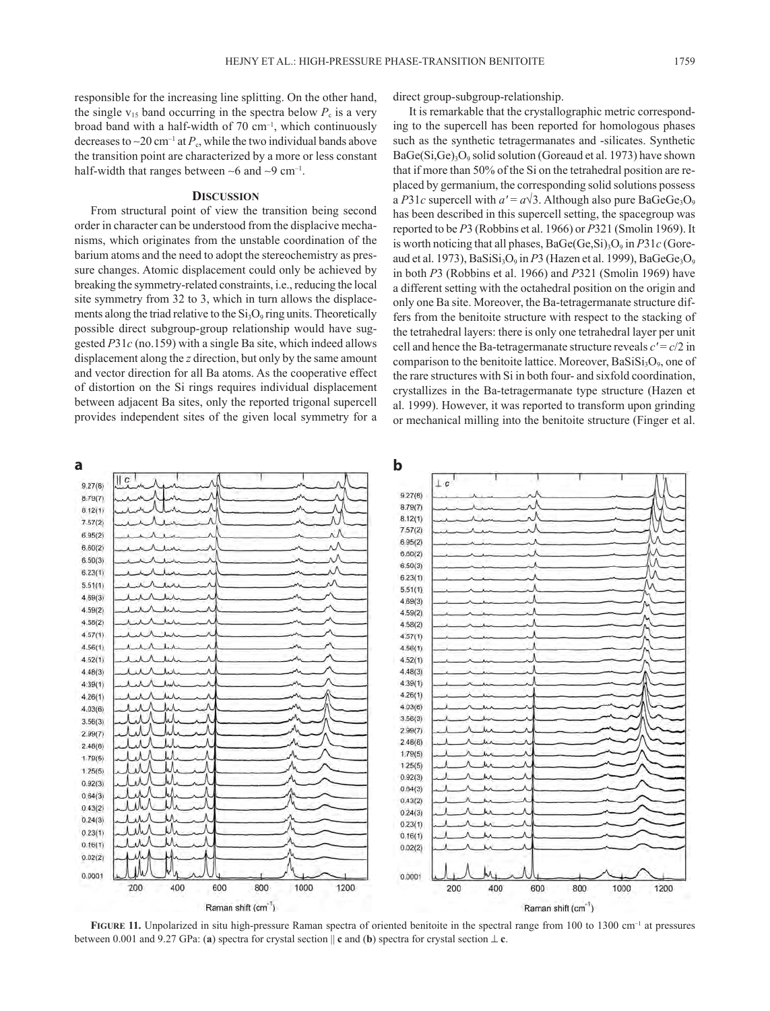responsible for the increasing line splitting. On the other hand, direct group-subgroup-relationship.

the single  $v_{15}$  band occurring in the spectra below  $P_c$  is a very broad band with a half-width of 70 cm–1, which continuously decreases to ~20 cm<sup>-1</sup> at  $P_c$ , while the two individual bands above the transition point are characterized by a more or less constant half-width that ranges between ∼6 and ∼9 cm–1.

### **Discussion**

From structural point of view the transition being second order in character can be understood from the displacive mechanisms, which originates from the unstable coordination of the barium atoms and the need to adopt the stereochemistry as pressure changes. Atomic displacement could only be achieved by breaking the symmetry-related constraints, i.e., reducing the local site symmetry from 32 to 3, which in turn allows the displacements along the triad relative to the  $Si<sub>3</sub>O<sub>9</sub>$  ring units. Theoretically possible direct subgroup-group relationship would have suggested *P*31*c* (no.159) with a single Ba site, which indeed allows displacement along the *z* direction, but only by the same amount and vector direction for all Ba atoms. As the cooperative effect of distortion on the Si rings requires individual displacement between adjacent Ba sites, only the reported trigonal supercell provides independent sites of the given local symmetry for a

It is remarkable that the crystallographic metric corresponding to the supercell has been reported for homologous phases such as the synthetic tetragermanates and -silicates. Synthetic  $BaGe(Si,Ge)<sub>3</sub>O<sub>9</sub>$  solid solution (Goreaud et al. 1973) have shown that if more than 50% of the Si on the tetrahedral position are replaced by germanium, the corresponding solid solutions possess a *P*31*c* supercell with  $a' = a\sqrt{3}$ . Although also pure BaGeGe<sub>3</sub>O<sub>9</sub> has been described in this supercell setting, the spacegroup was reported to be *P*3 (Robbins et al. 1966) or *P*321 (Smolin 1969). It is worth noticing that all phases, BaGe(Ge,Si)<sub>3</sub>O<sub>9</sub> in *P*31*c* (Goreaud et al. 1973),  $BaSiSi<sub>3</sub>O<sub>9</sub>$  in *P*3 (Hazen et al. 1999),  $BaGeGe<sub>3</sub>O<sub>9</sub>$ in both *P*3 (Robbins et al. 1966) and *P*321 (Smolin 1969) have a different setting with the octahedral position on the origin and only one Ba site. Moreover, the Ba-tetragermanate structure differs from the benitoite structure with respect to the stacking of the tetrahedral layers: there is only one tetrahedral layer per unit cell and hence the Ba-tetragermanate structure reveals  $c' = c/2$  in comparison to the benitoite lattice. Moreover,  $BaSiSi<sub>3</sub>O<sub>9</sub>$ , one of the rare structures with Si in both four- and sixfold coordination, crystallizes in the Ba-tetragermanate type structure (Hazen et al. 1999). However, it was reported to transform upon grinding or mechanical milling into the benitoite structure (Finger et al.



FIGURE 11. Unpolarized in situ high-pressure Raman spectra of oriented benitoite in the spectral range from 100 to 1300 cm<sup>-1</sup> at pressures between 0.001 and 9.27 GPa: (**a**) spectra for crystal section || **c** and (**b**) spectra for crystal section ⊥ **c**.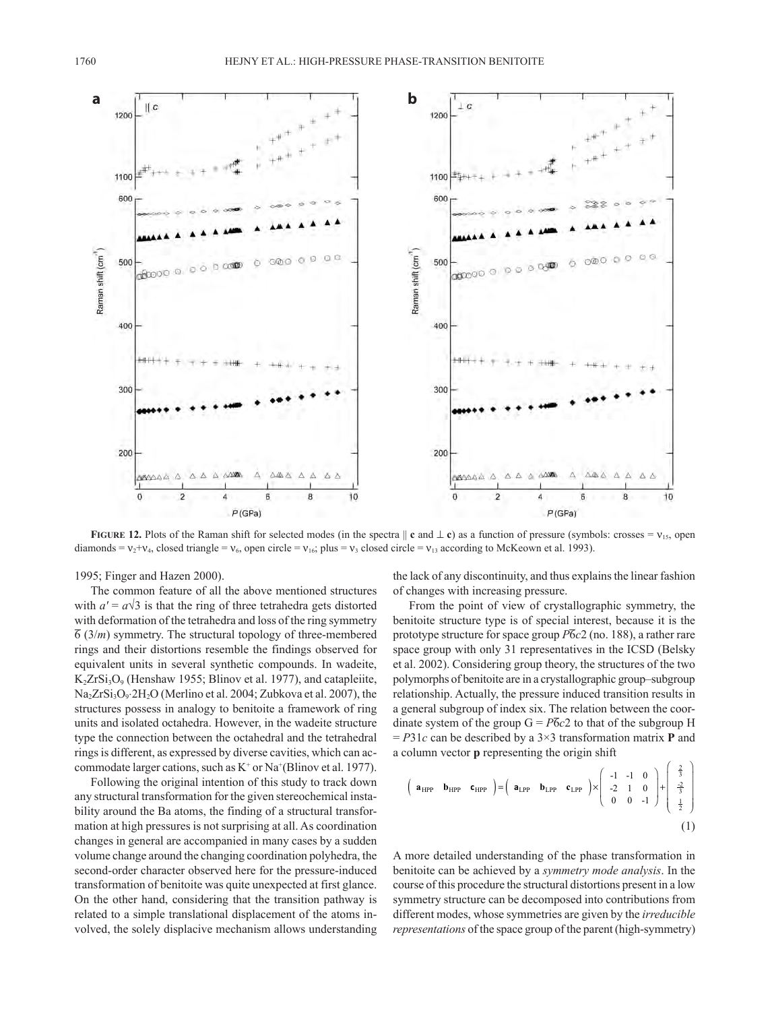

**FIGURE 12.** Plots of the Raman shift for selected modes (in the spectra  $\parallel$  **c** and  $\perp$  **c**) as a function of pressure (symbols: crosses =  $v_{15}$ , open diamonds =  $v_2 + v_4$ , closed triangle =  $v_6$ , open circle =  $v_{16}$ ; plus =  $v_3$  closed circle =  $v_{13}$  according to McKeown et al. 1993).

1995; Finger and Hazen 2000).

The common feature of all the above mentioned structures with  $a' = a\sqrt{3}$  is that the ring of three tetrahedra gets distorted with deformation of the tetrahedra and loss of the ring symmetry  $\overline{6}$  (3/*m*) symmetry. The structural topology of three-membered rings and their distortions resemble the findings observed for equivalent units in several synthetic compounds. In wadeite,  $K<sub>2</sub>ZrSi<sub>3</sub>O<sub>9</sub>$  (Henshaw 1955; Blinov et al. 1977), and catapleiite,  $Na<sub>2</sub>ZrSi<sub>3</sub>O<sub>9</sub>·2H<sub>2</sub>O$  (Merlino et al. 2004; Zubkova et al. 2007), the structures possess in analogy to benitoite a framework of ring units and isolated octahedra. However, in the wadeite structure type the connection between the octahedral and the tetrahedral rings is different, as expressed by diverse cavities, which can accommodate larger cations, such as  $K^+$  or  $Na^+(Blinov et al. 1977)$ .

Following the original intention of this study to track down any structural transformation for the given stereochemical instability around the Ba atoms, the finding of a structural transformation at high pressures is not surprising at all. As coordination changes in general are accompanied in many cases by a sudden volume change around the changing coordination polyhedra, the second-order character observed here for the pressure-induced transformation of benitoite was quite unexpected at first glance. On the other hand, considering that the transition pathway is related to a simple translational displacement of the atoms involved, the solely displacive mechanism allows understanding the lack of any discontinuity, and thus explains the linear fashion of changes with increasing pressure.

From the point of view of crystallographic symmetry, the benitoite structure type is of special interest, because it is the prototype structure for space group *P*6*c*2 (no. 188), a rather rare space group with only 31 representatives in the ICSD (Belsky et al. 2002). Considering group theory, the structures of the two polymorphs of benitoite are in a crystallographic group–subgroup relationship. Actually, the pressure induced transition results in a general subgroup of index six. The relation between the coordinate system of the group  $G = P\overline{6}c2$  to that of the subgroup H  $= P31c$  can be described by a  $3\times 3$  transformation matrix **P** and a column vector **p** representing the origin shift

$$
\begin{pmatrix}\n\mathbf{a}_{HPP} & \mathbf{b}_{HPP} & \mathbf{c}_{HPP}\n\end{pmatrix} = \begin{pmatrix}\n\mathbf{a}_{LPP} & \mathbf{b}_{LPP} & \mathbf{c}_{LPP}\n\end{pmatrix} \times \begin{pmatrix}\n-1 & -1 & 0 \\
-2 & 1 & 0 \\
0 & 0 & -1\n\end{pmatrix} + \begin{pmatrix}\n\frac{2}{3} \\
\frac{2}{3} \\
\frac{1}{2}\n\end{pmatrix}
$$
\n(1)

A more detailed understanding of the phase transformation in benitoite can be achieved by a *symmetry mode analysis*. In the course of this procedure the structural distortions present in a low symmetry structure can be decomposed into contributions from different modes, whose symmetries are given by the *irreducible representations* of the space group of the parent (high-symmetry)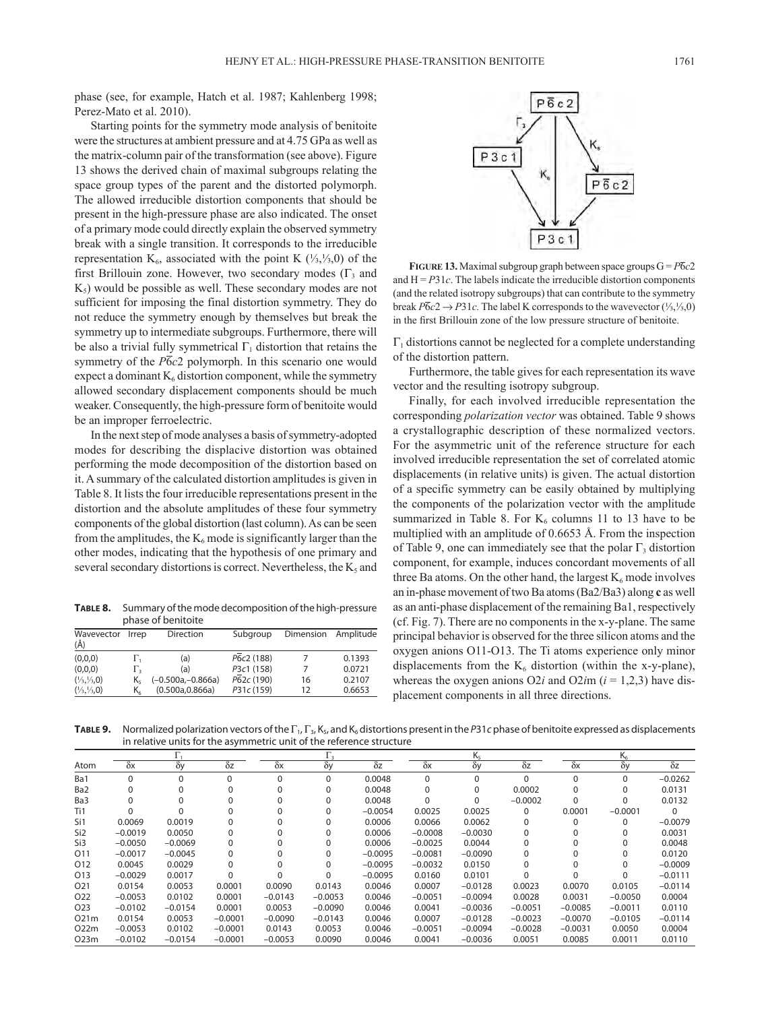phase (see, for example, Hatch et al. 1987; Kahlenberg 1998; Perez-Mato et al. 2010).

Starting points for the symmetry mode analysis of benitoite were the structures at ambient pressure and at 4.75 GPa as well as the matrix-column pair of the transformation (see above). Figure 13 shows the derived chain of maximal subgroups relating the space group types of the parent and the distorted polymorph. The allowed irreducible distortion components that should be present in the high-pressure phase are also indicated. The onset of a primary mode could directly explain the observed symmetry break with a single transition. It corresponds to the irreducible representation K<sub>6</sub>, associated with the point K  $(\frac{1}{3}, \frac{1}{3}, 0)$  of the first Brillouin zone. However, two secondary modes  $(\Gamma_3$  and  $K<sub>5</sub>$ ) would be possible as well. These secondary modes are not sufficient for imposing the final distortion symmetry. They do not reduce the symmetry enough by themselves but break the symmetry up to intermediate subgroups. Furthermore, there will be also a trivial fully symmetrical  $\Gamma_1$  distortion that retains the symmetry of the  $\overline{P6}c2$  polymorph. In this scenario one would expect a dominant  $K_6$  distortion component, while the symmetry allowed secondary displacement components should be much weaker. Consequently, the high-pressure form of benitoite would be an improper ferroelectric.

In the next step of mode analyses a basis of symmetry-adopted modes for describing the displacive distortion was obtained performing the mode decomposition of the distortion based on it. A summary of the calculated distortion amplitudes is given in Table 8. It lists the four irreducible representations present in the distortion and the absolute amplitudes of these four symmetry components of the global distortion (last column). As can be seen from the amplitudes, the  $K_6$  mode is significantly larger than the other modes, indicating that the hypothesis of one primary and several secondary distortions is correct. Nevertheless, the  $K_5$  and

**Table 8.** Summary of the mode decomposition of the high-pressure phase of benitoite

| Wavevector<br>$(\AA)$           | Irrep            | Direction           | Subgroup   | Dimension | Amplitude |
|---------------------------------|------------------|---------------------|------------|-----------|-----------|
| (0,0,0)                         | Ι'n              | (a)                 | P6c2 (188) |           | 0.1393    |
| (0,0,0)                         | $\Gamma_{\rm z}$ | (a)                 | P3c1 (158) |           | 0.0721    |
| $(\frac{1}{3}, \frac{1}{3}, 0)$ | K٤               | $(-0.500a,-0.866a)$ | P62c (190) | 16        | 0.2107    |
| $(\frac{1}{3}, \frac{1}{3}, 0)$ | K,               | (0.500a, 0.866a)    | P31c (159) | 12        | 0.6653    |



**FIGURE 13.** Maximal subgroup graph between space groups  $G = P\overline{6}c2$ and  $H = P31c$ . The labels indicate the irreducible distortion components (and the related isotropy subgroups) that can contribute to the symmetry break  $\overline{P6c2} \rightarrow \overline{P31c}$ . The label K corresponds to the wavevector (⅓, ¼,0) in the first Brillouin zone of the low pressure structure of benitoite.

 $\Gamma_1$  distortions cannot be neglected for a complete understanding of the distortion pattern.

Furthermore, the table gives for each representation its wave vector and the resulting isotropy subgroup.

Finally, for each involved irreducible representation the corresponding *polarization vector* was obtained. Table 9 shows a crystallographic description of these normalized vectors. For the asymmetric unit of the reference structure for each involved irreducible representation the set of correlated atomic displacements (in relative units) is given. The actual distortion of a specific symmetry can be easily obtained by multiplying the components of the polarization vector with the amplitude summarized in Table 8. For  $K_6$  columns 11 to 13 have to be multiplied with an amplitude of 0.6653 Å. From the inspection of Table 9, one can immediately see that the polar  $\Gamma_3$  distortion component, for example, induces concordant movements of all three Ba atoms. On the other hand, the largest  $K_6$  mode involves an in-phase movement of two Ba atoms (Ba2/Ba3) along **c** as well as an anti-phase displacement of the remaining Ba1, respectively (cf. Fig. 7). There are no components in the x-y-plane. The same principal behavior is observed for the three silicon atoms and the oxygen anions O11-O13. The Ti atoms experience only minor displacements from the  $K_6$  distortion (within the x-y-plane), whereas the oxygen anions  $O2i$  and  $O2im$  ( $i = 1,2,3$ ) have displacement components in all three directions.

**TABLE 9.** Normalized polarization vectors of the Γ<sub>1</sub>, Γ<sub>3</sub>, K<sub>5</sub>, and K<sub>6</sub> distortions present in the P31*c* phase of benitoite expressed as displacements in relative units for the asymmetric unit of the reference structure

|                 |            |            |            |            |           |            |            | Κς         |            |            | K          |            |
|-----------------|------------|------------|------------|------------|-----------|------------|------------|------------|------------|------------|------------|------------|
| Atom            | $\delta x$ | $\delta y$ | $\delta$ z | $\delta x$ | δy        | $\delta z$ | $\delta x$ | $\delta y$ | $\delta z$ | $\delta x$ | $\delta y$ | $\delta z$ |
| Ba1             | $\Omega$   | $\Omega$   | $\Omega$   |            | $\Omega$  | 0.0048     | $\Omega$   | $\Omega$   | $\Omega$   | $\Omega$   | $\Omega$   | $-0.0262$  |
| Ba <sub>2</sub> |            |            |            |            | $\Omega$  | 0.0048     | $\Omega$   | $\Omega$   | 0.0002     | $\Omega$   | 0          | 0.0131     |
| Ba3             |            |            |            |            | $\Omega$  | 0.0048     | $\Omega$   | $\Omega$   | $-0.0002$  | $\Omega$   | O          | 0.0132     |
| Ti1             |            |            |            |            | 0         | $-0.0054$  | 0.0025     | 0.0025     | $\Omega$   | 0.0001     | $-0.0001$  | 0          |
| Si1             | 0.0069     | 0.0019     |            |            | $\Omega$  | 0.0006     | 0.0066     | 0.0062     | 0          | $\Omega$   | $\Omega$   | $-0.0079$  |
| Si <sub>2</sub> | $-0.0019$  | 0.0050     |            |            | $\Omega$  | 0.0006     | $-0.0008$  | $-0.0030$  | 0          |            | O          | 0.0031     |
| Si3             | $-0.0050$  | $-0.0069$  |            |            | $\Omega$  | 0.0006     | $-0.0025$  | 0.0044     |            |            |            | 0.0048     |
| O <sub>11</sub> | $-0.0017$  | $-0.0045$  | 0          |            | $\Omega$  | $-0.0095$  | $-0.0081$  | $-0.0090$  | 0          |            | O          | 0.0120     |
| 012             | 0.0045     | 0.0029     |            |            | $\Omega$  | $-0.0095$  | $-0.0032$  | 0.0150     |            |            | O          | $-0.0009$  |
| O <sub>13</sub> | $-0.0029$  | 0.0017     |            |            | $\Omega$  | $-0.0095$  | 0.0160     | 0.0101     |            |            | O          | $-0.0111$  |
| O <sub>21</sub> | 0.0154     | 0.0053     | 0.0001     | 0.0090     | 0.0143    | 0.0046     | 0.0007     | $-0.0128$  | 0.0023     | 0.0070     | 0.0105     | $-0.0114$  |
| O <sub>22</sub> | $-0.0053$  | 0.0102     | 0.0001     | $-0.0143$  | $-0.0053$ | 0.0046     | $-0.0051$  | $-0.0094$  | 0.0028     | 0.0031     | $-0.0050$  | 0.0004     |
| O <sub>23</sub> | $-0.0102$  | $-0.0154$  | 0.0001     | 0.0053     | $-0.0090$ | 0.0046     | 0.0041     | $-0.0036$  | $-0.0051$  | $-0.0085$  | $-0.0011$  | 0.0110     |
| 021m            | 0.0154     | 0.0053     | $-0.0001$  | $-0.0090$  | $-0.0143$ | 0.0046     | 0.0007     | $-0.0128$  | $-0.0023$  | $-0.0070$  | $-0.0105$  | $-0.0114$  |
| 022m            | $-0.0053$  | 0.0102     | $-0.0001$  | 0.0143     | 0.0053    | 0.0046     | $-0.0051$  | $-0.0094$  | $-0.0028$  | $-0.0031$  | 0.0050     | 0.0004     |
| O23m            | $-0.0102$  | $-0.0154$  | $-0.0001$  | $-0.0053$  | 0.0090    | 0.0046     | 0.0041     | $-0.0036$  | 0.0051     | 0.0085     | 0.0011     | 0.0110     |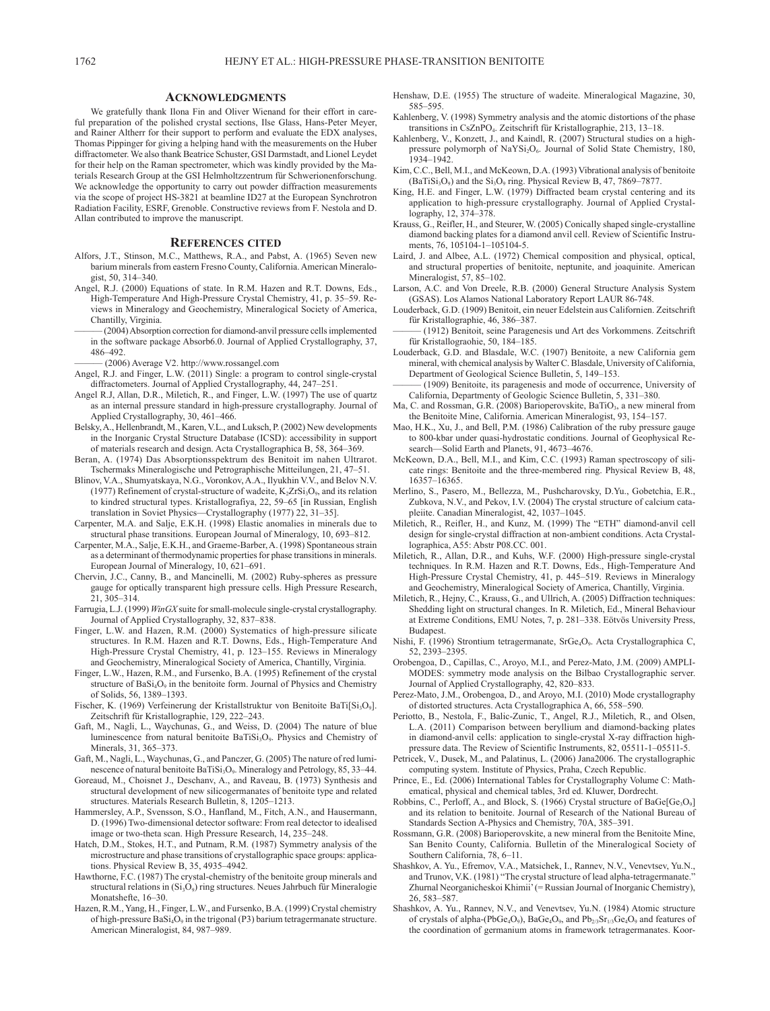#### **Acknowledgments**

We gratefully thank Ilona Fin and Oliver Wienand for their effort in careful preparation of the polished crystal sections, Ilse Glass, Hans-Peter Meyer, and Rainer Altherr for their support to perform and evaluate the EDX analyses, Thomas Pippinger for giving a helping hand with the measurements on the Huber diffractometer. We also thank Beatrice Schuster, GSI Darmstadt, and Lionel Leydet for their help on the Raman spectrometer, which was kindly provided by the Materials Research Group at the GSI Helmholtzzentrum für Schwerionenforschung. We acknowledge the opportunity to carry out powder diffraction measurements via the scope of project HS-3821 at beamline ID27 at the European Synchrotron Radiation Facility, ESRF, Grenoble. Constructive reviews from F. Nestola and D. Allan contributed to improve the manuscript.

#### **References cited**

- Alfors, J.T., Stinson, M.C., Matthews, R.A., and Pabst, A. (1965) Seven new barium minerals from eastern Fresno County, California. American Mineralogist, 50, 314–340.
- Angel, R.J. (2000) Equations of state. In R.M. Hazen and R.T. Downs, Eds., High-Temperature And High-Pressure Crystal Chemistry, 41, p. 35–59. Reviews in Mineralogy and Geochemistry, Mineralogical Society of America, Chantilly, Virginia.
	- (2004) Absorption correction for diamond-anvil pressure cells implemented in the software package Absorb6.0. Journal of Applied Crystallography, 37, 486–492.
- ——— (2006) Average V2. http://www.rossangel.com
- Angel, R.J. and Finger, L.W. (2011) Single: a program to control single-crystal diffractometers. Journal of Applied Crystallography, 44, 247–251.
- Angel R.J, Allan, D.R., Miletich, R., and Finger, L.W. (1997) The use of quartz as an internal pressure standard in high-pressure crystallography. Journal of Applied Crystallography, 30, 461–466.
- Belsky, A., Hellenbrandt, M., Karen, V.L., and Luksch, P. (2002) New developments in the Inorganic Crystal Structure Database (ICSD): accessibility in support of materials research and design. Acta Crystallographica B, 58, 364–369.
- Beran, A. (1974) Das Absorptionsspektrum des Benitoit im nahen Ultrarot. Tschermaks Mineralogische und Petrographische Mitteilungen, 21, 47–51.
- Blinov, V.A., Shumyatskaya, N.G., Voronkov, A.A., Ilyukhin V.V., and Belov N.V. (1977) Refinement of crystal-structure of wadeite,  $K_2ZrSi_3O_9$ , and its relation to kindred structural types. Kristallografiya, 22, 59–65 [in Russian, English translation in Soviet Physics—Crystallography (1977) 22, 31–35].
- Carpenter, M.A. and Salje, E.K.H. (1998) Elastic anomalies in minerals due to structural phase transitions. European Journal of Mineralogy, 10, 693–812.
- Carpenter, M.A., Salje, E.K.H., and Graeme-Barber, A. (1998) Spontaneous strain as a determinant of thermodynamic properties for phase transitions in minerals. European Journal of Mineralogy, 10, 621–691.
- Chervin, J.C., Canny, B., and Mancinelli, M. (2002) Ruby-spheres as pressure gauge for optically transparent high pressure cells. High Pressure Research, 21, 305–314.
- Farrugia, L.J. (1999) *WinGX* suite for small-molecule single-crystal crystallography. Journal of Applied Crystallography, 32, 837–838.
- Finger, L.W. and Hazen, R.M. (2000) Systematics of high-pressure silicate structures. In R.M. Hazen and R.T. Downs, Eds., High-Temperature And High-Pressure Crystal Chemistry, 41, p. 123–155. Reviews in Mineralogy and Geochemistry, Mineralogical Society of America, Chantilly, Virginia.
- Finger, L.W., Hazen, R.M., and Fursenko, B.A. (1995) Refinement of the crystal structure of BaSi<sub>4</sub>O<sub>9</sub> in the benitoite form. Journal of Physics and Chemistry of Solids, 56, 1389–1393.
- Fischer, K. (1969) Verfeinerung der Kristallstruktur von Benitoite BaTi[Si<sub>3</sub>O<sub>9</sub>]. Zeitschrift für Kristallographie, 129, 222–243.
- Gaft, M., Nagli, L., Waychunas, G., and Weiss, D. (2004) The nature of blue luminescence from natural benitoite BaTiSi<sub>3</sub>O<sub>9</sub>. Physics and Chemistry of Minerals, 31, 365–373.
- Gaft, M., Nagli, L., Waychunas, G., and Panczer, G. (2005) The nature of red luminescence of natural benitoite BaTiSi<sub>3</sub>O<sub>9</sub>. Mineralogy and Petrology, 85, 33-44.
- Goreaud, M., Choisnet J., Deschanv, A., and Raveau, B. (1973) Synthesis and structural development of new silicogermanates of benitoite type and related structures. Materials Research Bulletin, 8, 1205–1213.
- Hammersley, A.P., Svensson, S.O., Hanfland, M., Fitch, A.N., and Hausermann, D. (1996) Two-dimensional detector software: From real detector to idealised image or two-theta scan. High Pressure Research, 14, 235–248.
- Hatch, D.M., Stokes, H.T., and Putnam, R.M. (1987) Symmetry analysis of the microstructure and phase transitions of crystallographic space groups: applications. Physical Review B, 35, 4935–4942.
- Hawthorne, F.C. (1987) The crystal-chemistry of the benitoite group minerals and structural relations in  $(Si<sub>3</sub>O<sub>9</sub>)$  ring structures. Neues Jahrbuch für Mineralogie Monatshefte, 16–30.
- Hazen, R.M., Yang, H., Finger, L.W., and Fursenko, B.A. (1999) Crystal chemistry of high-pressure  $BaSi<sub>4</sub>O<sub>9</sub>$  in the trigonal (P3) barium tetragermanate structure. American Mineralogist, 84, 987–989.
- Henshaw, D.E. (1955) The structure of wadeite. Mineralogical Magazine, 30, 585–595.
- Kahlenberg, V. (1998) Symmetry analysis and the atomic distortions of the phase transitions in CsZnPO<sub>4</sub>. Zeitschrift für Kristallographie, 213, 13-18.
- Kahlenberg, V., Konzett, J., and Kaindl, R. (2007) Structural studies on a highpressure polymorph of NaYSi<sub>2</sub>O<sub>6</sub>. Journal of Solid State Chemistry, 180, 1934–1942.
- Kim, C.C., Bell, M.I., and McKeown, D.A. (1993) Vibrational analysis of benitoite (BaTiSi<sub>3</sub>O<sub>9</sub>) and the Si<sub>3</sub>O<sub>9</sub> ring. Physical Review B, 47, 7869-7877
- King, H.E. and Finger, L.W. (1979) Diffracted beam crystal centering and its application to high-pressure crystallography. Journal of Applied Crystallography, 12, 374–378.
- Krauss, G., Reifler, H., and Steurer, W. (2005) Conically shaped single-crystalline diamond backing plates for a diamond anvil cell. Review of Scientific Instruments, 76, 105104-1–105104-5.
- Laird, J. and Albee, A.L. (1972) Chemical composition and physical, optical, and structural properties of benitoite, neptunite, and joaquinite. American Mineralogist, 57, 85–102.
- Larson, A.C. and Von Dreele, R.B. (2000) General Structure Analysis System (GSAS). Los Alamos National Laboratory Report LAUR 86-748.
- Louderback, G.D. (1909) Benitoit, ein neuer Edelstein aus Californien. Zeitschrift für Kristallographie, 46, 386–387.
- ——— (1912) Benitoit, seine Paragenesis und Art des Vorkommens. Zeitschrift für Kristallograohie, 50, 184–185.
- Louderback, G.D. and Blasdale, W.C. (1907) Benitoite, a new California gem mineral, with chemical analysis by Walter C. Blasdale, University of California, Department of Geological Science Bulletin, 5, 149–153.
- (1909) Benitoite, its paragenesis and mode of occurrence, University of California, Departmenty of Geologic Science Bulletin, 5, 331–380.
- Ma, C. and Rossman, G.R. (2008) Barioperovskite, BaTiO<sub>3</sub>, a new mineral from the Benitoite Mine, California. American Mineralogist, 93, 154–157.
- Mao, H.K., Xu, J., and Bell, P.M. (1986) Calibration of the ruby pressure gauge to 800-kbar under quasi-hydrostatic conditions. Journal of Geophysical Research—Solid Earth and Planets, 91, 4673–4676.
- McKeown, D.A., Bell, M.I., and Kim, C.C. (1993) Raman spectroscopy of silicate rings: Benitoite and the three-membered ring. Physical Review B, 48, 16357–16365.
- Merlino, S., Pasero, M., Bellezza, M., Pushcharovsky, D.Yu., Gobetchia, E.R., Zubkova, N.V., and Pekov, I.V. (2004) The crystal structure of calcium catapleiite. Canadian Mineralogist, 42, 1037–1045.
- Miletich, R., Reifler, H., and Kunz, M. (1999) The "ETH" diamond-anvil cell design for single-crystal diffraction at non-ambient conditions. Acta Crystallographica, A55: Abstr P08.CC. 001.
- Miletich, R., Allan, D.R., and Kuhs, W.F. (2000) High-pressure single-crystal techniques. In R.M. Hazen and R.T. Downs, Eds., High-Temperature And High-Pressure Crystal Chemistry, 41, p. 445–519. Reviews in Mineralogy and Geochemistry, Mineralogical Society of America, Chantilly, Virginia.
- Miletich, R., Hejny, C., Krauss, G., and Ullrich, A. (2005) Diffraction techniques: Shedding light on structural changes. In R. Miletich, Ed., Mineral Behaviour at Extreme Conditions, EMU Notes, 7, p. 281–338. Eötvös University Press, Budapest.
- Nishi, F. (1996) Strontium tetragermanate, SrGe<sub>4</sub>O<sub>9</sub>. Acta Crystallographica C, 52, 2393–2395.
- Orobengoa, D., Capillas, C., Aroyo, M.I., and Perez-Mato, J.M. (2009) AMPLI-MODES: symmetry mode analysis on the Bilbao Crystallographic server. Journal of Applied Crystallography, 42, 820–833.
- Perez-Mato, J.M., Orobengoa, D., and Aroyo, M.I. (2010) Mode crystallography of distorted structures. Acta Crystallographica A, 66, 558–590.
- Periotto, B., Nestola, F., Balic-Zunic, T., Angel, R.J., Miletich, R., and Olsen, L.A. (2011) Comparison between beryllium and diamond-backing plates in diamond-anvil cells: application to single-crystal X-ray diffraction highpressure data. The Review of Scientific Instruments, 82, 05511-1–05511-5.
- Petricek, V., Dusek, M., and Palatinus, L. (2006) Jana2006. The crystallographic computing system. Institute of Physics, Praha, Czech Republic.
- Prince, E., Ed. (2006) International Tables for Crystallography Volume C: Mathematical, physical and chemical tables, 3rd ed. Kluwer, Dordrecht.
- Robbins, C., Perloff, A., and Block, S. (1966) Crystal structure of BaGe[Ge<sub>3</sub>O<sub>9</sub>] and its relation to benitoite. Journal of Research of the National Bureau of Standards Section A-Physics and Chemistry, 70A, 385–391.
- Rossmann, G.R. (2008) Barioperovskite, a new mineral from the Benitoite Mine, San Benito County, California. Bulletin of the Mineralogical Society of Southern California, 78, 6–11.
- Shashkov, A. Yu., Efremov, V.A., Matsichek, I., Rannev, N.V., Venevtsev, Yu.N., and Trunov, V.K. (1981) "The crystal structure of lead alpha-tetragermanate." Zhurnal Neorganicheskoi Khimii' (= Russian Journal of Inorganic Chemistry), 26, 583–587.
- Shashkov, A. Yu., Rannev, N.V., and Venevtsev, Yu.N. (1984) Atomic structure of crystals of alpha-(PbGe<sub>4</sub>O<sub>9</sub>), BaGe<sub>4</sub>O<sub>9</sub>, and Pb<sub>2/3</sub>Sr<sub>1/3</sub>Ge<sub>4</sub>O<sub>9</sub> and features of the coordination of germanium atoms in framework tetragermanates. Koor-